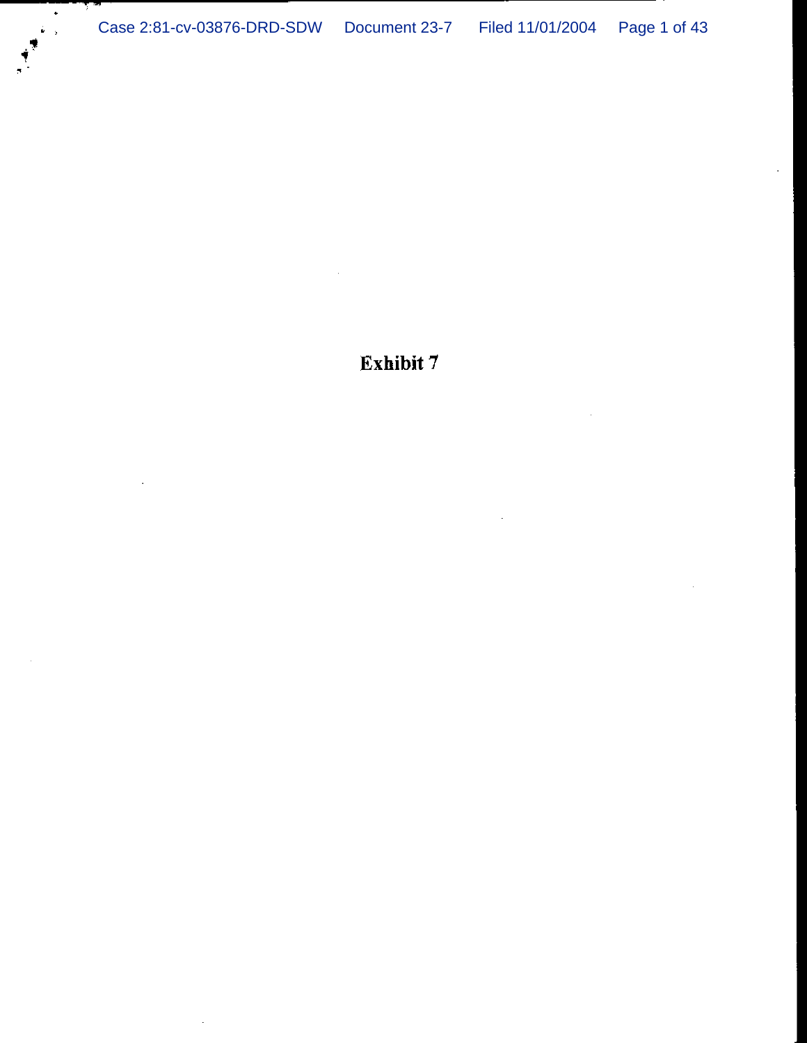Exhibit 7

 $\hat{\mathcal{A}}$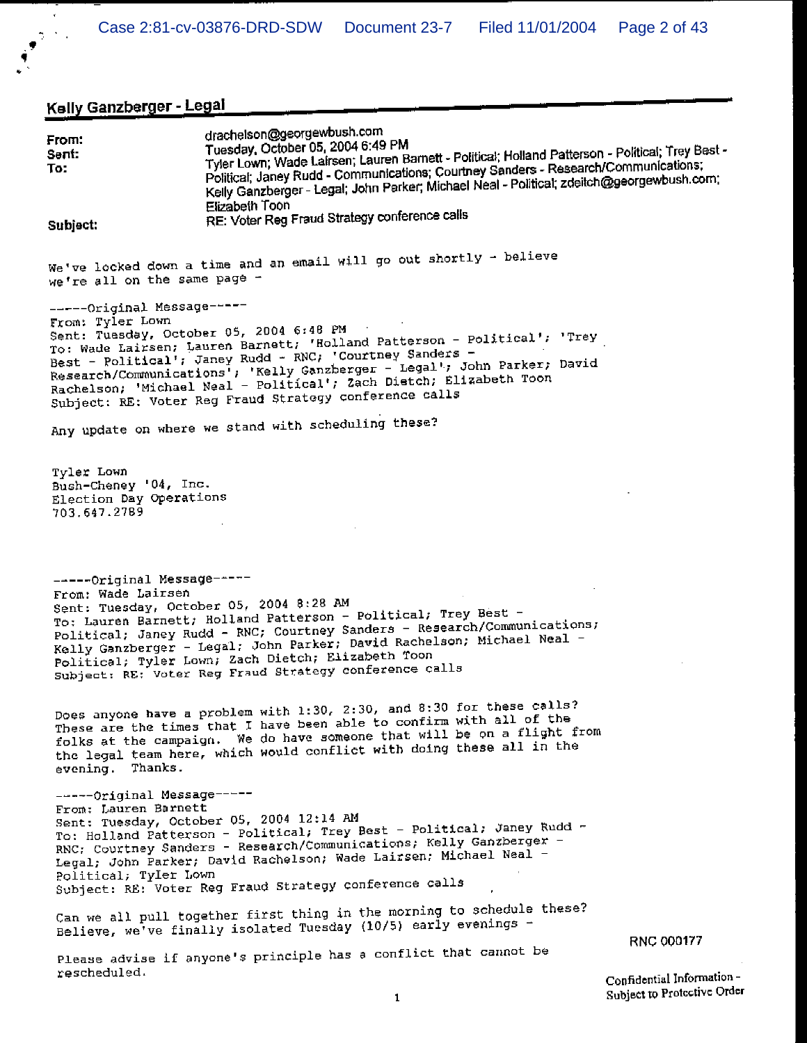# Kelly Ganzberger - Legal

 $\bar{\epsilon}$  $\frac{1}{2}$  ,  $\frac{1}{2}$  ,  $\frac{1}{2}$ 

| From:<br>Sent:<br>To:                                                          | drachelson@georgewbush.com<br>Tuesday, October 05, 2004 6:49 PM<br>Tyler Lown; Wade Lairsen; Lauren Barnett - Political; Holland Patterson - Political; Trey Best -<br>Political; Janey Rudd - Communications; Courtney Sanders - Research/Communications;<br>Kelly Ganzberger - Legal; John Parker; Michael Neal - Political; zdeitch@georgewbush.com;<br>Elizabeth Toon                                |                                                          |
|--------------------------------------------------------------------------------|----------------------------------------------------------------------------------------------------------------------------------------------------------------------------------------------------------------------------------------------------------------------------------------------------------------------------------------------------------------------------------------------------------|----------------------------------------------------------|
| Subject:                                                                       | RE: Voter Reg Fraud Strategy conference calls                                                                                                                                                                                                                                                                                                                                                            |                                                          |
| we're all on the same page -                                                   | We've locked down a time and an email will go out shortly - believe                                                                                                                                                                                                                                                                                                                                      |                                                          |
| -----Original Message-----<br>From: Tyler Lown                                 | Sent: Tuesday, October 05, 2004 6:48 PM<br>To: Wade Lairsen; Lauren Barnett; 'Holland Patterson - Political'; 'Trey<br>Best - Political'; Janey Rudd - RNC; 'Courtney Sanders -<br>Research/Communications <sup>1</sup> ; 'Kelly Ganzberger - Legal'; John Parker; David<br>Rachelson; 'Michael Neal - Political'; Zach Dietch; Elizabeth Toon<br>Subject: RE: Voter Reg Fraud Strategy conference calls |                                                          |
|                                                                                | Any update on where we stand with scheduling these?                                                                                                                                                                                                                                                                                                                                                      |                                                          |
| Tyler Lown<br>Bush-Cheney '04, Inc.<br>Election Day Operations<br>703.647.2789 |                                                                                                                                                                                                                                                                                                                                                                                                          |                                                          |
| -----Original Message-----<br>From: Wade Lairsen                               | Sent: Tuesday, October 05, 2004 8:28 AM<br>To: Lauren Barnett; Holland Patterson - Political; Trey Best -<br>Political; Janey Rudd - RNC; Courtney Sanders - Research/Communications;<br>Kelly Ganzberger - Legal; John Parker; David Rachelson; Michael Neal -<br>Political; Tyler Lown; Zach Dietch; Elizabeth Toon<br>Subject: RE: Voter Reg Fraud Strategy conference calls                          |                                                          |
| evening. Thanks.                                                               | Does anyone have a problem with 1:30, 2:30, and 8:30 for these calls?<br>These are the times that I have been able to confirm with all of the<br>folks at the campaign. We do have someone that will be on a flight from<br>the legal team here, which would conflict with doing these all in the                                                                                                        |                                                          |
| -----Original Message-----<br>From: Lauren Barnett<br>Political; Tyler Lown    | Sent: Tuesday, October 05, 2004 12:14 AM<br>To: Holland Patterson - Political; Trey Best - Political; Janey Rudd -<br>RNC: Courtney Sanders - Research/Communications; Kelly Ganzberger -<br>Legal; John Parker; David Rachelson; Wade Lairsen; Michael Neal -<br>Subject: RE: Voter Reg Fraud Strategy conference calls                                                                                 |                                                          |
|                                                                                | Can we all pull together first thing in the morning to schedule these?<br>Believe, we've finally isolated Tuesday (10/5) early evenings -                                                                                                                                                                                                                                                                | RNC 000177                                               |
|                                                                                | Please advise if anyone's principle has a conflict that cannot be                                                                                                                                                                                                                                                                                                                                        |                                                          |
| rescheduled.                                                                   | 1                                                                                                                                                                                                                                                                                                                                                                                                        | Confidential Information-<br>Subject to Protective Order |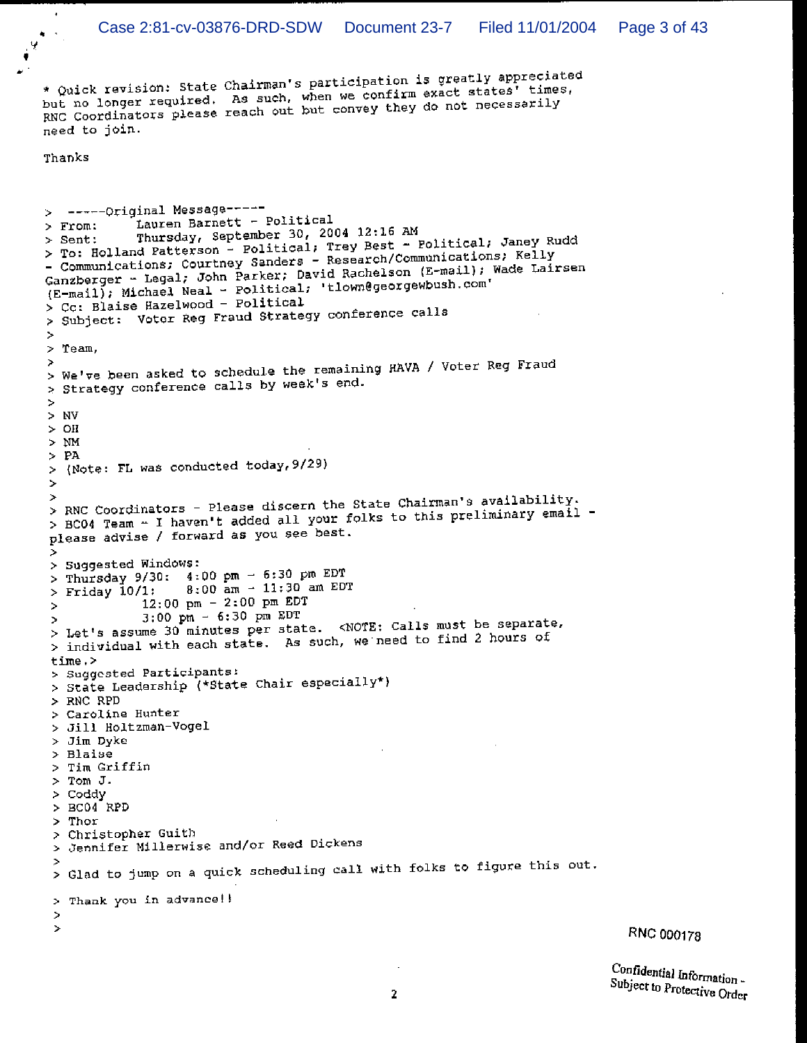\* Quick revision: State Chairman's participation is greatly appreciated but no longer required. As such, when we confirm exact states' times, RNC Coordinators please reach out but convey they do not necessarily need to join.

Thanks

```
> ------Original Message-----
             Lauren Barnett - Political
> From:
             Thursday, September 30, 2004 12:16 AM
- ------<br>> To: Holland Patterson - Political; Trey Best - Political; Janey Rudd
- Communications; Courtney Sanders - Research/Communications; Kelly
Ganzberger - Legal; John Parker; David Rachelson (E-mail); Wade Lairsen
(E-mail); Michael Neal - Political; 'tlown@georgewbush.com'
> Cc: Blaise Hazelwood - Political
> Subject: Votor Reg Fraud Strategy conference calls
\geq> Team,
> We've been asked to schedule the remaining HAVA / Voter Reg Fraud
> Strategy conference calls by week's end.
\sim> NV> OH
> NM
\rightarrow PA
> (Note: FL was conducted today, 9/29)
\rightarrow> RNC Coordinators - Please discern the State Chairman's availability.
> BC04 Team - I haven't added all your folks to this preliminary email -
please advise / forward as you see best.
Þ
> Suggested Windows:
> Thursday 9/30: 4:00 \text{ pm} - 6:30 \text{ pm} = 508:00 am - 11:30 am EDT
> Friday 10/1:
              12:00 \text{ pm } - 2:00 \text{ pm } \text{EDT}\geq3:00 \text{ pm } - 6:30 \text{ pm } \text{EDT}> Let's assume 30 minutes per state. < NOTE: Calls must be separate,
> individual with each state. As such, we need to find 2 hours of
time.>
> Suggested Participants:
> State Leadership (*State Chair especially*)
> RNC RPD
 > Caroline Hunter
 > Jill Holtzman-Vogel
 > Jim Dyke
 > Blaise
 > Tim Griffin
 > Tom J.
 > Coddy
 > BC04 RPD
 > Thor
 > Christopher Guith
 > Jennifer Millerwise and/or Reed Dickens
 > Glad to jump on a quick scheduling call with folks to figure this out.
 > Thank you in advance!!
 \geq×
```
Confidential Information -Subject to Protective Order

RNC 000178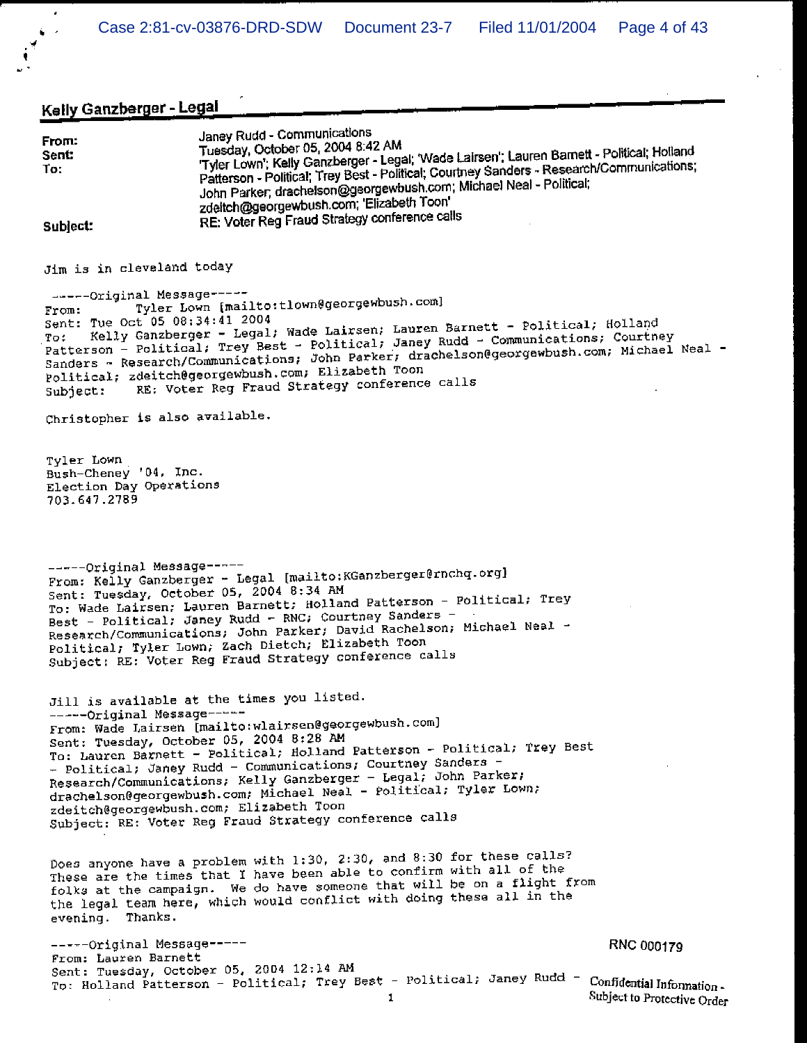## Kelly Ganzberger - Legal

| From:<br>Sent:<br>To:               | Janey Rudd - Communications<br>Tuesday, October 05, 2004 8:42 AM<br>'Tyler Lown'; Kelly Ganzberger - Legal; 'Wade Lairsen'; Lauren Barnett - Political; Holland<br>Patterson - Political; Trey Best - Political; Courtney Sanders - Research/Communications;<br>John Parker, drachelson@georgewbush.com; Michael Neal - Political;<br>zdeitch@georgewbush.com; 'Elizabeth Toon' |  |
|-------------------------------------|---------------------------------------------------------------------------------------------------------------------------------------------------------------------------------------------------------------------------------------------------------------------------------------------------------------------------------------------------------------------------------|--|
| Subject:                            | RE: Voter Reg Fraud Strategy conference calls                                                                                                                                                                                                                                                                                                                                   |  |
| Jim is in cleveland today           |                                                                                                                                                                                                                                                                                                                                                                                 |  |
| -----Original Message-----<br>From: | Tyler Lown [mailto:tlown@georgewbush.com]<br>AC AO TALAM COOL                                                                                                                                                                                                                                                                                                                   |  |

Kelly Ganzberger - Legal; Wade Lairsen; Lauren Barnett - Political; Holland Sent: Tue Oct 05 08:34:41 2004 Patterson - Political; Trey Best - Political; Janey Rudd - Communications; Courtney Sanders - Research/Communications; John Parker; drachelson@georgewbush.com; Michael Neal -Political; zdeitch@georgewbush.com; Elizabeth Toon RE: Voter Reg Fraud Strategy conference calls Subject:

Christopher is also available.

Tyler Lown Bush-Cheney '04, Inc. Election Day Operations 703.647.2789

-----Original Message-----From: Kelly Ganzberger - Legal [mailto:KGanzberger@rnchq.org] Sent: Tuesday, October 05, 2004 8:34 AM To: Wade Lairsen: Lauren Barnett; Holland Patterson - Political; Trey Best - Political; Janey Rudd - RNC; Courtney Sanders -Research/Communications; John Parker; David Rachelson; Michael Neal -Political; Tyler Lown; Zach Dietch; Elizabeth Toon Subject: RE: Voter Reg Fraud Strategy conference calls

Jill is available at the times you listed. -----Original Message-----From: Wade Lairsen [mailto:wlairsen@georgewbush.com] Sent: Tuesday, October 05, 2004 8:28 AM To: Lauren Barnett - Political; Holland Patterson - Political; Trey Best - Political, Janey Rudd - Communications, Courtney Sanders -Research/Communications; Kelly Ganzberger - Legal; John Parker; drachelson@georgewbush.com; Michael Neal - Political; Tyler Lown; zdeitch@georgewbush.com; Elizabeth Toon Subject: RE: Voter Reg Fraud Strategy conference calls

Does anyone have a problem with 1:30, 2:30, and 8:30 for these calls? These are the times that I have been able to confirm with all of the folks at the campaign. We do have someone that will be on a flight from the legal team here, which would conflict with doing these all in the evening. Thanks.

-----Original Message-----RNC 000179 From: Lauren Barnett Sent: Tuesday, October 05, 2004 12:14 AM To: Holland Patterson - Political; Trey Best - Political; Janey Rudd -Confidential Information - $\mathbf{I}$ 

Subject to Protective Order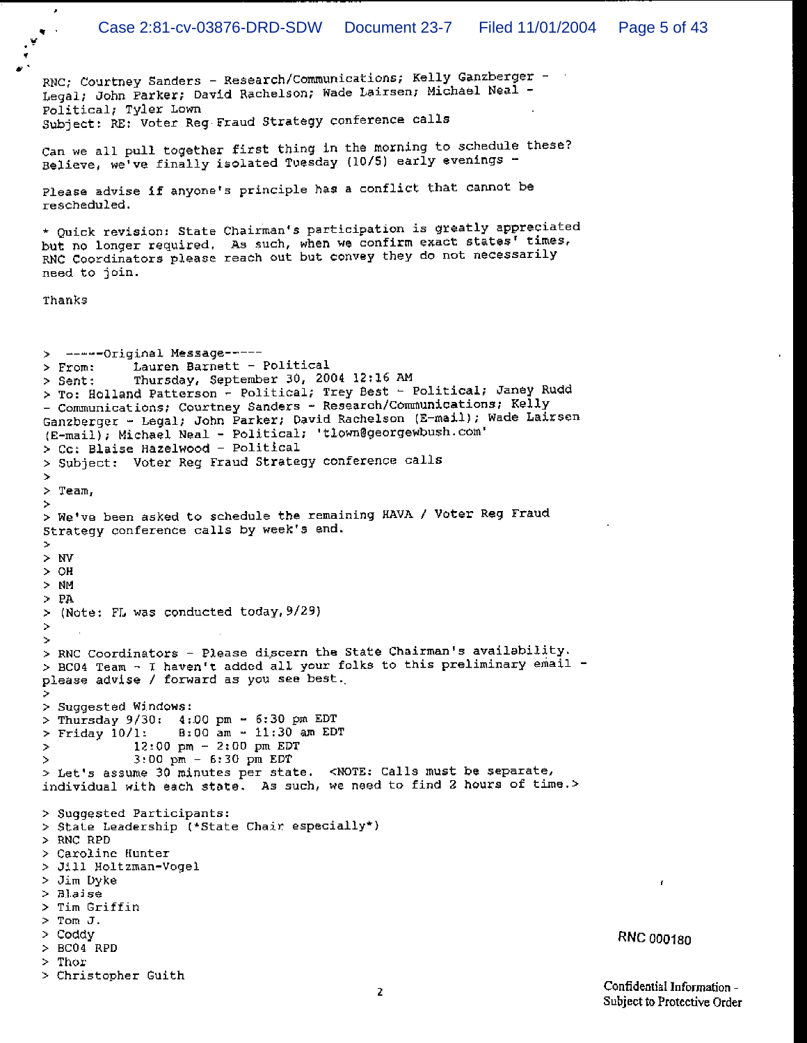RNC; Courtney Sanders - Research/Communications; Kelly Ganzberger -Legal; John Parker; David Rachelson; Wade Lairsen; Michael Neal -Political; Tyler Lown Subject: RE: Voter Reg Fraud Strategy conference calls Can we all pull together first thing in the morning to schedule these? Believe, we've finally isolated Tuesday (10/5) early evenings -Please advise if anyone's principle has a conflict that cannot be rescheduled. \* Quick revision: State Chairman's participation is greatly appreciated but no longer required. As such, when we confirm the exact states' times, RNC Coordinators please reach out but convey they do not necessarily need to join. Thanks > ------Original Message-----Lauren Barnett - Political  $>$  From: Thursday, September 30, 2004 12:16 AM > Sent: > To: Holland Patterson - Political; Trey Best - Political; Janey Rudd - Communications; Courtney Sanders - Research/Communications; Kelly Ganzberger - Legal; John Parker; David Rachelson (E-mail); Wade Lairsen (E-mail); Michael Neal - Political; 'tlown@georgewbush.com' > Cc: Blaise Hazelwood - Political > Subject: Voter Reg Fraud Strategy conference calls  $\gamma$  $>$  Team. þ, > We've been asked to schedule the remaining HAVA / Voter Reg Fraud Strategy conference calls by week's end. ×  $> W$  $>$  OH  $>$  NM  $>$  PA > (Note: FL was conducted today, 9/29)  $\geq$  $\geq$ > RNC Coordinators - Please discern the State Chairman's availability. > BC04 Team - I haven't added all your folks to this preliminary email please advise / forward as you see best. Þ > Suggested Windows: > Thursday 9/30: 4:00 pm - 6:30 pm EDT  $B:00$  am  $-11:30$  am EDT > Friday 10/1:  $12:00$  pm - 2:00 pm EDT  $\rightarrow$  $3:00 \text{ pm } - 6:30 \text{ pm } \text{EDT}$  $\overline{a}$ > Let's assume 30 minutes per state. < NOTE: Calls must be separate, individual with each state. As such, we need to find 2 hours of time.> > Suggested Participants: > State Leadership (\*State Chair especially\*) > RNC RPD > Caroline Hunter > Jill Holtzman-Vogel > Jim Dyke  $>$  Blaise > Tim Griffin  $>$  Tom J.  $>$  Coddy **RNC 000180**  $> BC04 RPD$  $>$  Thor > Christopher Guith

Confidential Information -Subject to Protective Order

 $\mathbf{r}$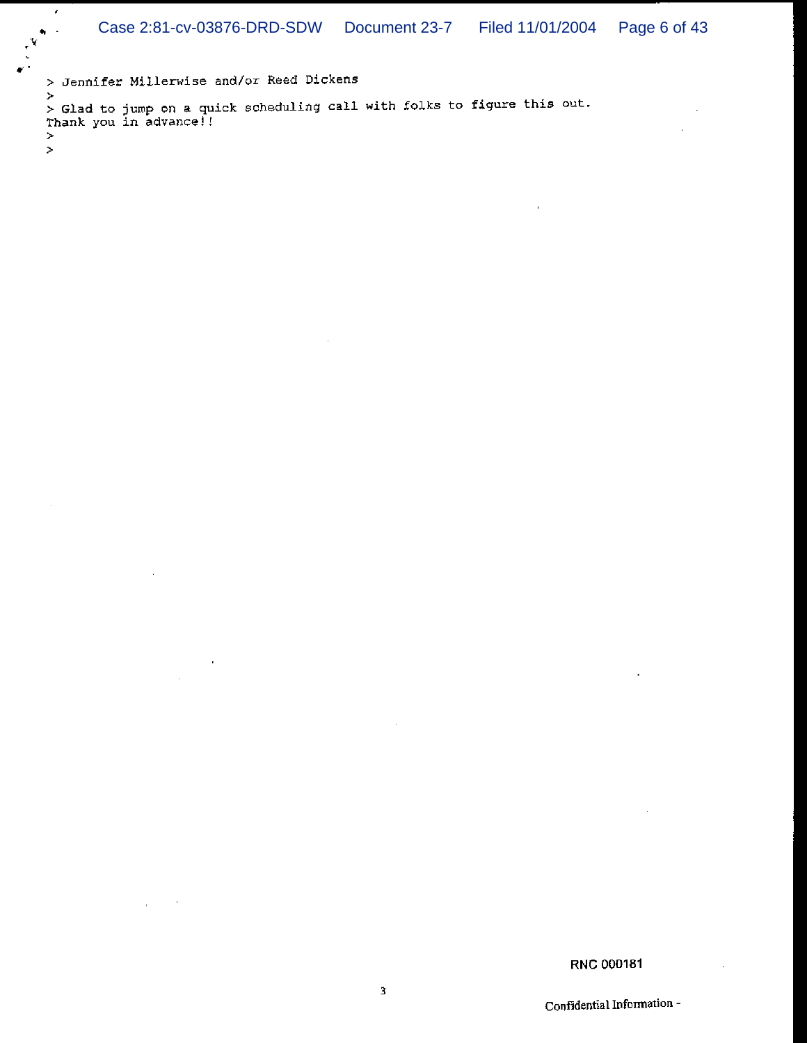> Jennifer Millerwise and/or Reed Dickens

 $\hat{\mathbf{r}}$ 

 $\epsilon$ 

 $\geq$  $\geq$ 

 $\bar{\bf k}$ > Glad to jump on a quick scheduling call with folks to figure this out.<br>Thank you in advance!!

RNC 000181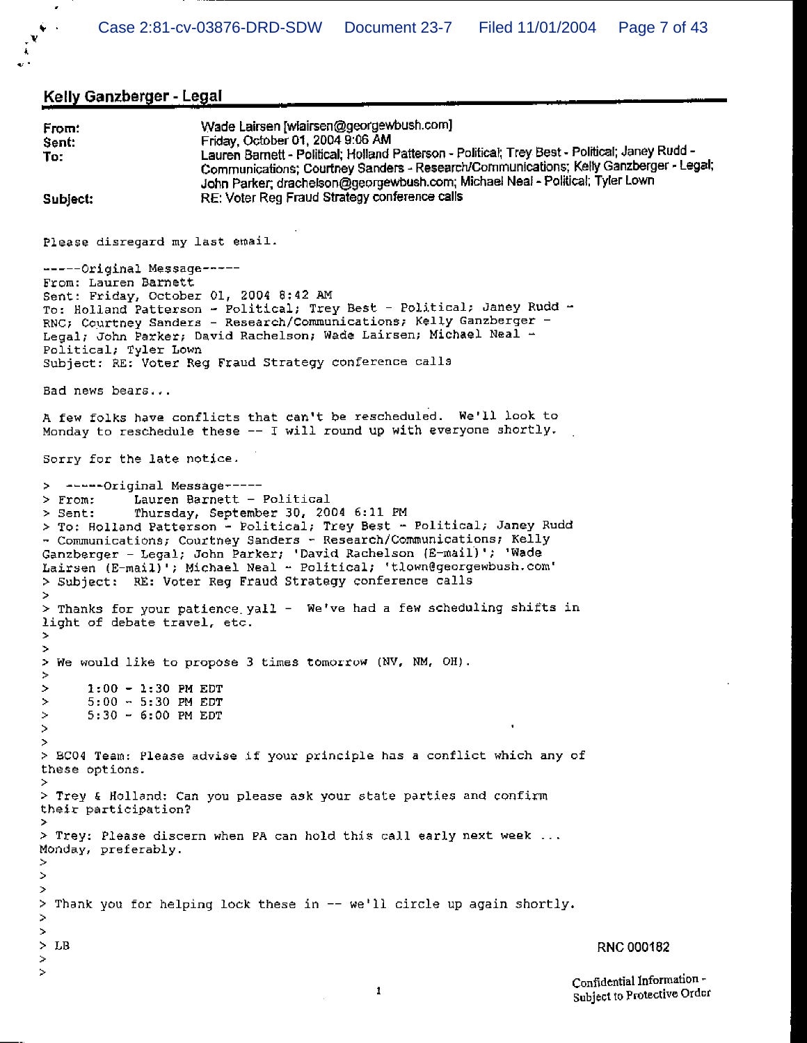Kelly Ganzberger - Legal

```
Wade Lairsen [wlairsen@georgewbush.com]
From:
                       Friday, October 01, 2004 9:06 AM
Sent:
                       Lauren Barnett - Political; Holland Patterson - Political; Trey Best - Political; Janey Rudd -
To:
                       Communications; Courtney Sanders - Research/Communications; Kelly Ganzberger - Legal;
                       John Parker; drachelson@georgewbush.com; Michael Neal - Political; Tyler Lown
                       RE: Voter Reg Fraud Strategy conference calls
Subject:
Please disregard my last email.
-----Original Message-----
From: Lauren Barnett
Sent: Friday, October 01, 2004 8:42 AM
To: Holland Patterson - Political; Trey Best - Political; Janey Rudd -
RNC; Courtney Sanders - Research/Communications; Kelly Ganzberger -
Legal; John Parker; David Rachelson; Wade Lairsen; Michael Neal -
Political; Tyler Lown
Subject: RE: Voter Reg Fraud Strategy conference calls
Bad news bears...
A few folks have conflicts that can't be rescheduled. We'll look to
Monday to reschedule these -- I will round up with everyone shortly.
Sorry for the late notice.
  ------Original Message-----
\overline{ }Lauren Barnett - Political
> From:
             Thursday, September 30, 2004 6:11 PM
> Sent:
> To: Holland Patterson - Political; Trey Best - Political; Janey Rudd
- Communications; Courtney Sanders - Research/Communications; Kelly
Ganzberger - Legal; John Parker; 'David Rachelson (E-mail)'; 'Wade
Lairsen (E-mail)'; Michael Neal - Political; 'tlown@georgewbush.com'
> Subject: RE: Voter Reg Fraud Strategy conference calls
Þ
> Thanks for your patience yall - We've had a few scheduling shifts in
light of debate travel, etc.
\simĎ.
 We would like to propose 3 times tomorrow (NV, NM, OH).
\rightarrowÞ
\rightarrow1:00 - 1:30 PM EDT
\geq5:00 - 5:30 PM EDT
\mathbf{r}5:30 - 6:00 PM EDT
Š.
> BC04 Team: Please advise if your principle has a conflict which any of
these options.
> Trey & Holland: Can you please ask your state parties and confirm
their participation?
> Trey: Please discern when PA can hold this call early next week ...
Monday, preferably.
ž.
\simĎ.
> Thank you for helping lock these in -- we'll circle up again shortly.
\geq\geq> LB
                                                                                 RNC 000182
\geq\geqConfidential Information -
```
1

Subject to Protective Order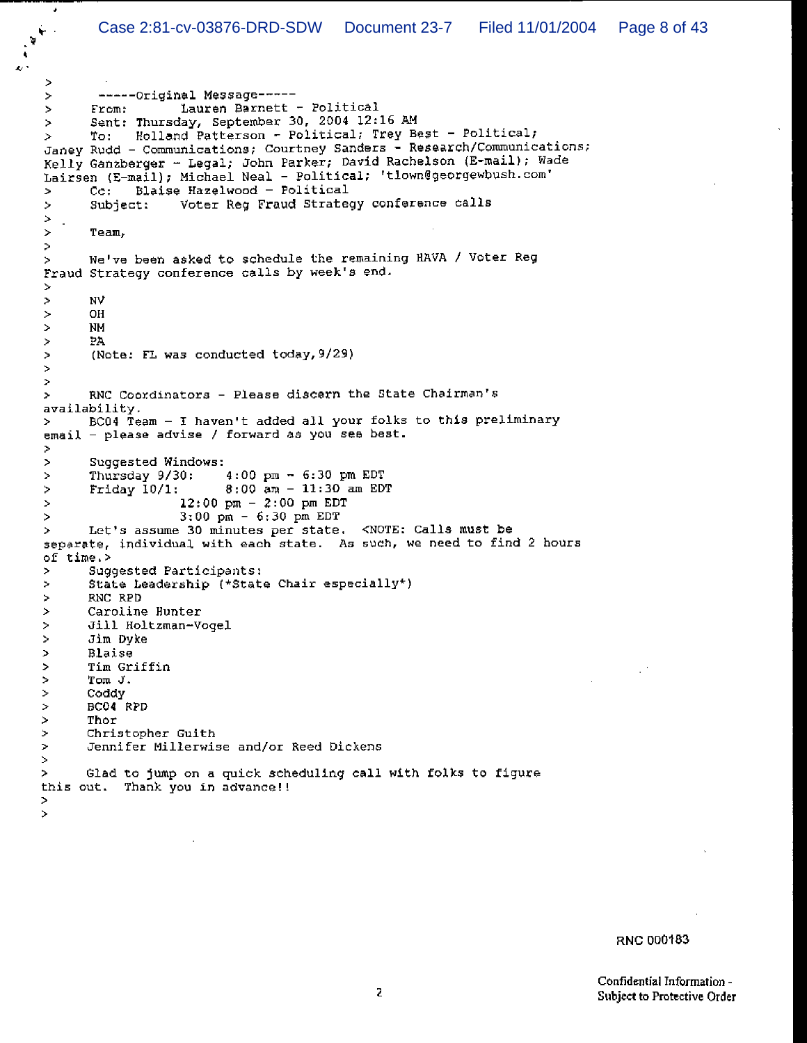```
\geq-----Original Message-----
÷.
                     Lauren Barnett - Political
       From:
÷.
       Sent: Thursday, September 30, 2004 12:16 AM
\geqTo: Holland Patterson - Political; Trey Best - Political;
\geqJaney Rudd - Communications; Courtney Sanders - Research/Communications;
Kelly Ganzberger - Legal; John Parker; David Rachelson (E-mail); Wade
Lairsen (E-mail), Michael Neal - Political; 'tlown@georgewbush.com'
              Blaise Hazelwood - Political
\mathcal{D}C_{\rm C}:
                    Voter Reg Fraud Strategy conference calls
\,>Subject:
\geq\mathcal{L}\geqTeam,
\, >We've been asked to schedule the remaining HAVA / Voter Reg
\geqFraud Strategy conference calls by week's end.
Ď.
\geqNV
       OH
\bar{z}\,NM
       PA
\,(Note: FL was conducted today, 9/29)
\,\geq\bar{\nu}RNC Coordinators - Please discern the State Chairman's
×
availability.
       BC04 Team - I haven't added all your folks to this preliminary
\geqemail - please advise / forward as you see best.
\geq\,Suggested Windows:
       Thursday 9/30:
                            4:00 \text{ pm } - 6:30 \text{ pm } \text{EDT}\geq8:00 am - 11:30 am EDT
\,Friday 10/1:
                     12:00 pm - 2:00 pm EDT
×,
                     3:00 \text{ pm} - 6:30 \text{ pm} \text{EDT}ò.
       Let's assume 30 minutes per state. < NOTE: Calls must be
\geqseparate, individual with each state. As such, we need to find 2 hours
of time.>
       Suggested Participants:
\,State Leadership (*State Chair especially*)
\,RNC RPD
×
\boldsymbol{\gamma}Caroline Hunter
\bar{\nu}Jill Holtzman-Vogel
\,Jim Dyke
\rightarrowBlaise
\,Tim Griffin
\,Tom J.
\,Coddy
\geqBC04 RPD
\geqThor
\overline{ }Christopher Guith
\rightarrowJennifer Millerwise and/or Reed Dickens
Š.
\,Glad to jump on a quick scheduling call with folks to figure
this out. Thank you in advance!!
\,
```
 $\geq$ 

 $\pmb{\cdot}$ 

RNC 000183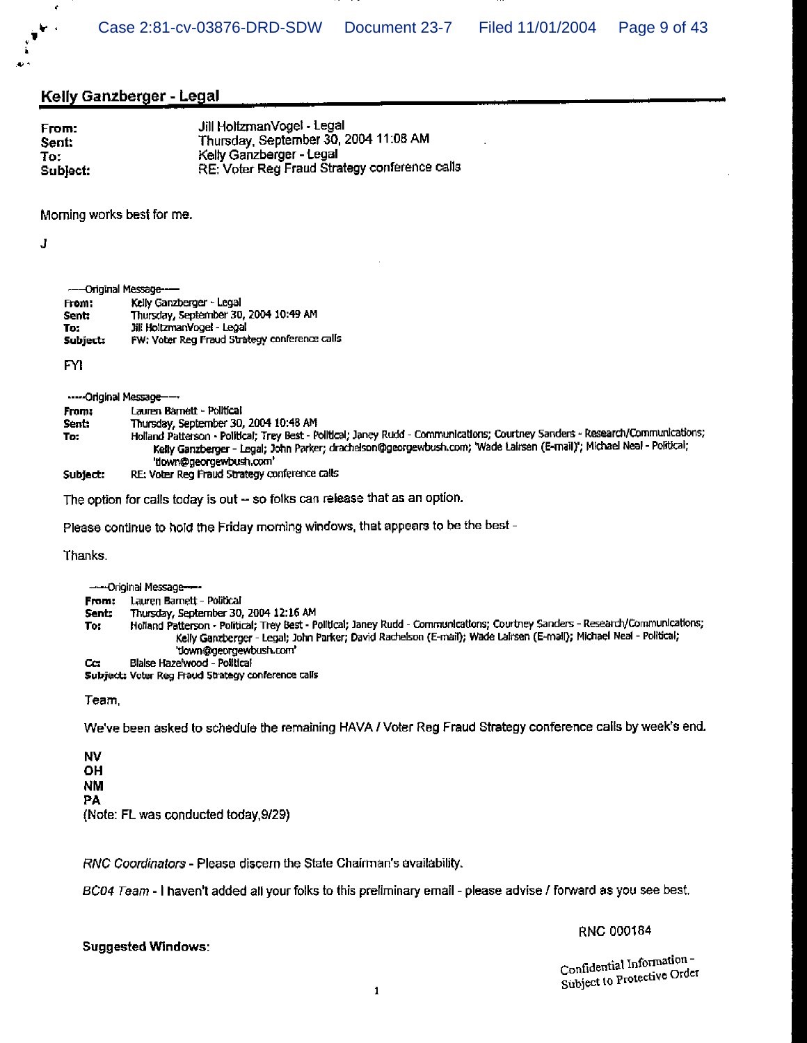#### **Kelly Ganzberger - Legal**

| From:    | Jill HoltzmanVogel - Legal                    |
|----------|-----------------------------------------------|
| Sent:    | Thursday, September 30, 2004 11:08 AM         |
| To:      | Kelly Ganzberger - Legal                      |
| Subject: | RE: Voter Reg Fraud Strategy conference calls |

Morning works best for me.

J

ł

ш.

|          | ---Original Message--                         |
|----------|-----------------------------------------------|
| From:    | Kelly Ganzberger - Legal                      |
| sent:    | Thursday, September 30, 2004 10:49 AM         |
| To:      | Jill HoltzmanVogel - Legal                    |
| Subject: | FW: Voter Reg Fraud Strategy conference calls |

**FYI** 

-----Original Message----

| From:    | Lauren Barnett - Political                                                                                                     |
|----------|--------------------------------------------------------------------------------------------------------------------------------|
| Sent:    | Thursday, September 30, 2004 10:48 AM                                                                                          |
| To:      | Holland Patterson - Political; Trey Best - Political; Janey Rudd - Communications; Courtney Sanders - Research/Communications; |
|          | Kelly Ganzberger - Legal; John Parker; drachelson@georgewbush.com; 'Wade Lairsen (E-mail)'; Michael Neal - Political;          |
|          | 'tlown@georgewbush.com'                                                                                                        |
| Subject: | RE: Voter Reg Fraud Strategy conference calls                                                                                  |

The option for calls today is out - so folks can release that as an option.

Please continue to hold the Friday morning windows, that appears to be the best -

Thanks.

- Original Message From: Lauren Barnett - Political Thursday, September 30, 2004 12:16 AM Sent: Holland Patterson - Political; Trey Best - Political; Janey Rudd - Communications; Courtney Sanders - Research/Communications; To: Kelly Ganzberger - Legal; John Parker; David Rachelson (E-mail); Wade Lairsen (E-mail); Michael Neal - Political; 'down@georgewbush.com' Blaise Hazelwood - Political  $cc$ Subject: Voter Reg Fraud Strategy conference calls Team

We've been asked to schedule the remaining HAVA / Voter Reg Fraud Strategy conference calls by week's end.

**NV OH NM** PA (Note: FL was conducted today, 9/29)

RNC Coordinators - Please discern the State Chairman's availability.

BC04 Team - I haven't added all your folks to this preliminary email - please advise / forward as you see best.

#### **Suggested Windows:**

RNC 000184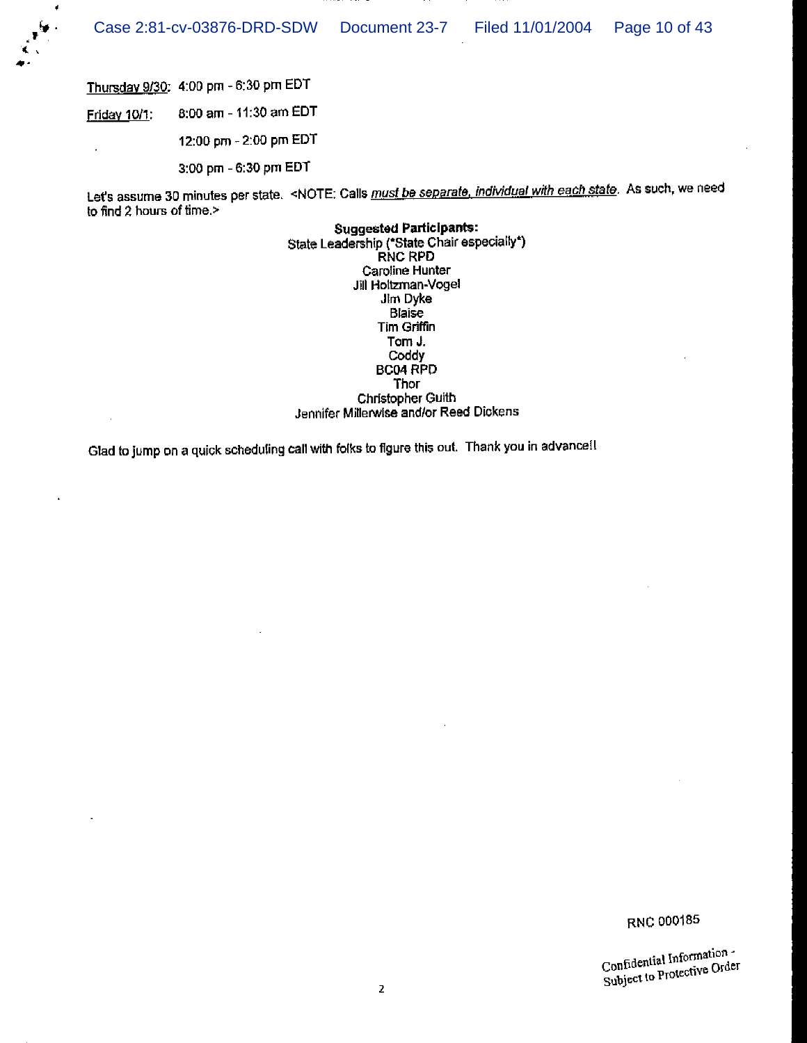

 $\overline{\phantom{a}}$ 

Thursday 9/30: 4:00 pm - 6:30 pm EDT

8:00 am - 11:30 am EDT Friday 10/1:

12:00 pm - 2:00 pm EDT

3:00 pm - 6:30 pm EDT

Let's assume 30 minutes per state. <NOTE: Calls must be separate, individual with each state. As such, we need to find 2 hours of time.>

> **Suggested Participants:** State Leadership ("State Chair especially")<br>RNC RPD Caroline Hunter Jill Holtzman-Vogel Jim Dyke Blaise Tim Griffin Tom J. Coddy **BC04 RPD Thor** Christopher Guith Jennifer Millerwise and/or Reed Dickens

Glad to jump on a quick scheduling call with folks to figure this out. Thank you in advance!!

RNC 000185

Confidential Information -Confidential Intormation<br>Subject to Protective Order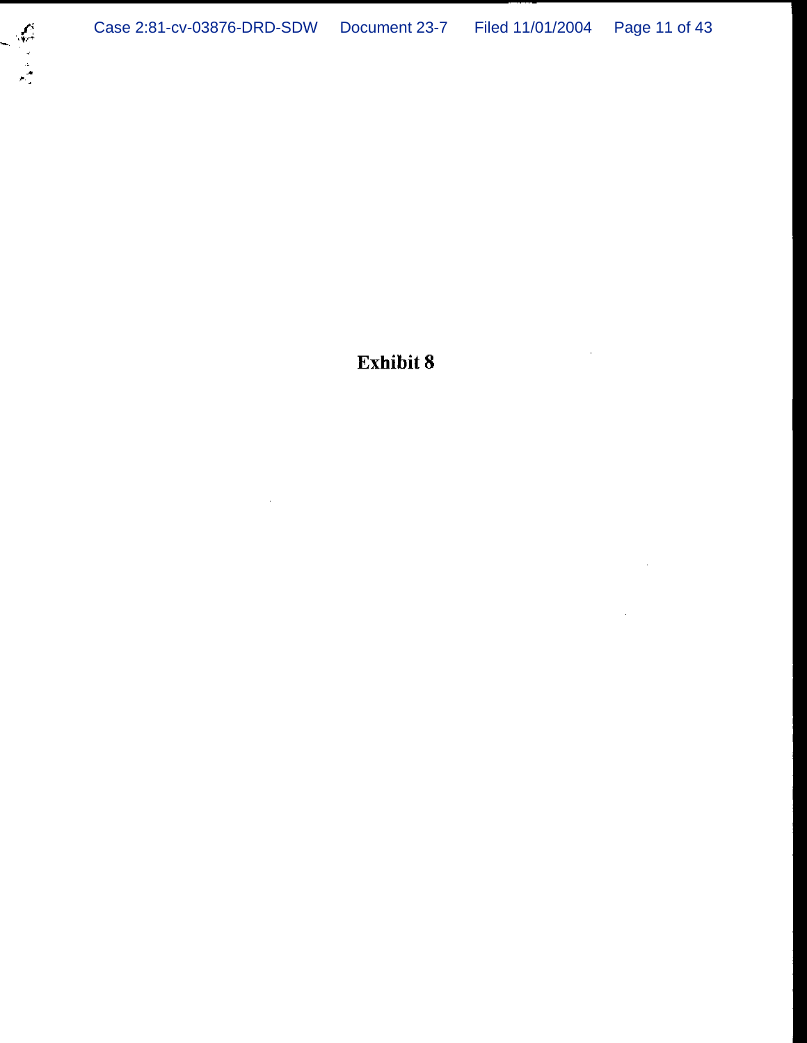Exhibit 8

 $\alpha$ 

 $\bar{z}$ 

 $\overline{\phantom{a}}$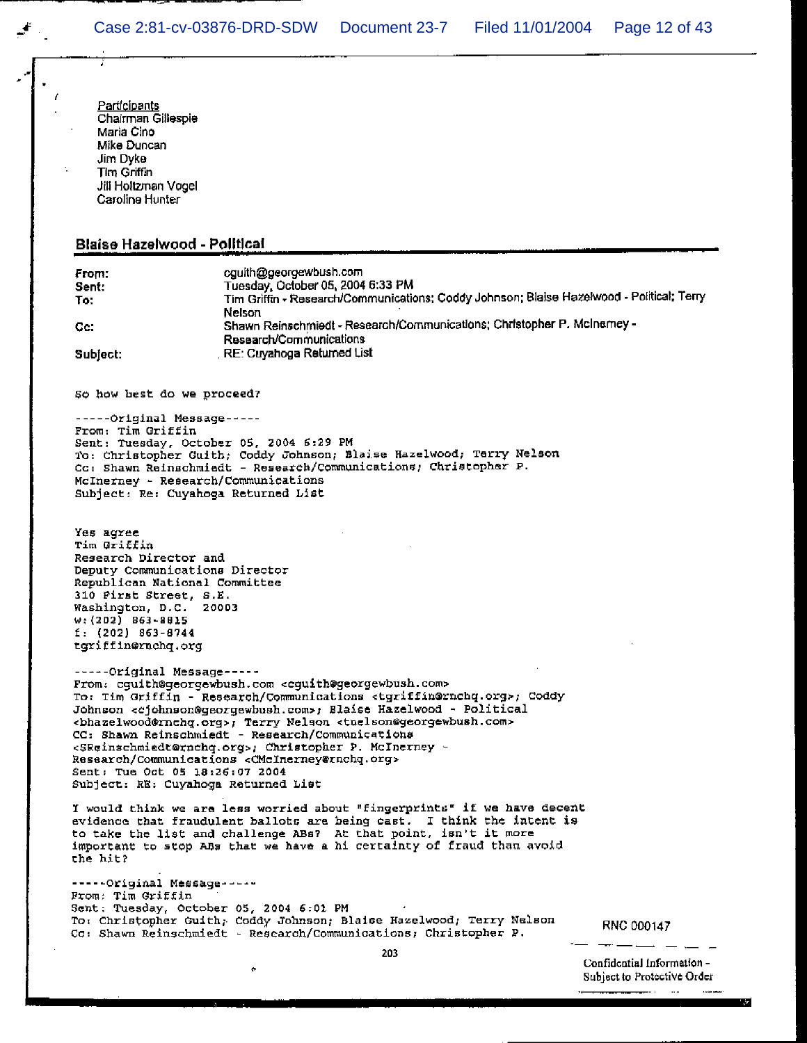Participants<br>Chairman Gillespie<br>Maria Cino<br>Mike Duncan<br>Jim Dyke<br>Tim Griffin<br>Jill Holtzman Vogel<br>Caroline Hunter

Ţ

 $\mathcal{F}_{\mathcal{F}_{\mathcal{F}}}$ 

Í

## Blaise Hazelwood - Political

| From:<br>Sent:<br>To:<br>Cc.<br>Subject:                                                                                                                                                                                                     | cguith@georgewbush.com<br>Tuesday, October 05, 2004 6:33 PM<br>Tim Griffin - Research/Communications; Coddy Johnson; Blaise Hazelwood - Political; Terry<br>Nelson<br>Shawn Reinschmiedt - Research/Communications; Christopher P. McInemey -<br>Research/Communications<br>RE: Cuyahoga Returned List                                                                                                                                                                                                                                                                                                               |                                                           |
|----------------------------------------------------------------------------------------------------------------------------------------------------------------------------------------------------------------------------------------------|----------------------------------------------------------------------------------------------------------------------------------------------------------------------------------------------------------------------------------------------------------------------------------------------------------------------------------------------------------------------------------------------------------------------------------------------------------------------------------------------------------------------------------------------------------------------------------------------------------------------|-----------------------------------------------------------|
|                                                                                                                                                                                                                                              |                                                                                                                                                                                                                                                                                                                                                                                                                                                                                                                                                                                                                      |                                                           |
| So how hest do we proceed?                                                                                                                                                                                                                   |                                                                                                                                                                                                                                                                                                                                                                                                                                                                                                                                                                                                                      |                                                           |
| -----Original Message-----<br>From: Tim Griffin<br>Sent: Tuesday, October 05, 2004 6:29 PM<br>McInerney - Research/Communications<br>Subject: Re: Cuyahoga Returned List                                                                     | To: Christopher Guith; Coddy Johnson; Blaise Hazelwood; Terry Nelson<br>Cc: Shawn Reinschmiedt - Research/Communications; Christopher P.                                                                                                                                                                                                                                                                                                                                                                                                                                                                             |                                                           |
| Yes agree<br>Tim Griffin<br>Research Director and<br>Deputy Communications Director<br>Republican National Committee<br>310 First Street, S.E.<br>Washington, D.C. 20003<br>$w: (202)$ 863-8815<br>$E: (202)$ 863-8744<br>tgriffin@rnchq.org |                                                                                                                                                                                                                                                                                                                                                                                                                                                                                                                                                                                                                      |                                                           |
| -----Original Message-----<br>Sent: Tue Oct 05 18:26:07 2004<br>Subject: RE: Cuyahoga Returned List                                                                                                                                          | From: cguith@georgewbush.com <cguith@georgewbush.com><br/>To: Tim Griffin - Research/Communications <tgriffin@rnchq.org>; Coddy<br/>Johnson <cjohnson@georgewbush.com>; Blaise Hazelwood - Political<br/><bhazelwood@rnchq.org>; Terry Nelson <tnelson@georgewbush.com><br/>CC: Shawn Reinschmiedt - Research/Communications<br/><sreinschmiedt@rnchq.org>; Christopher P. McInerney -<br/>Research/Communications <cmcinerney@rnchq.org></cmcinerney@rnchq.org></sreinschmiedt@rnchq.org></tnelson@georgewbush.com></bhazelwood@rnchq.org></cjohnson@georgewbush.com></tgriffin@rnchq.org></cguith@georgewbush.com> |                                                           |
| the hit?                                                                                                                                                                                                                                     | I would think we are less worried about "fingerprints" if we have decent<br>evidence that fraudulent ballots are being cast. I think the intent is<br>to take the list and challenge ABs? At that point, isn't it more<br>important to stop ABs that we have a hi certainty of fraud than avoid                                                                                                                                                                                                                                                                                                                      |                                                           |
| -----Original Message-----<br>From: Tim Griffin<br>Sent: Tuesday, October 05, 2004 6:01 PM                                                                                                                                                   | To: Christopher Guith, Coddy Johnson; Blaise Hazelwood; Terry Nelson<br>Cc: Shawn Reinschmiedt - Research/Communications; Christopher P.                                                                                                                                                                                                                                                                                                                                                                                                                                                                             | RNC 000147                                                |
|                                                                                                                                                                                                                                              | 203<br>۰                                                                                                                                                                                                                                                                                                                                                                                                                                                                                                                                                                                                             | Confidential Information -<br>Subject to Protective Order |

Г.

 $\sim$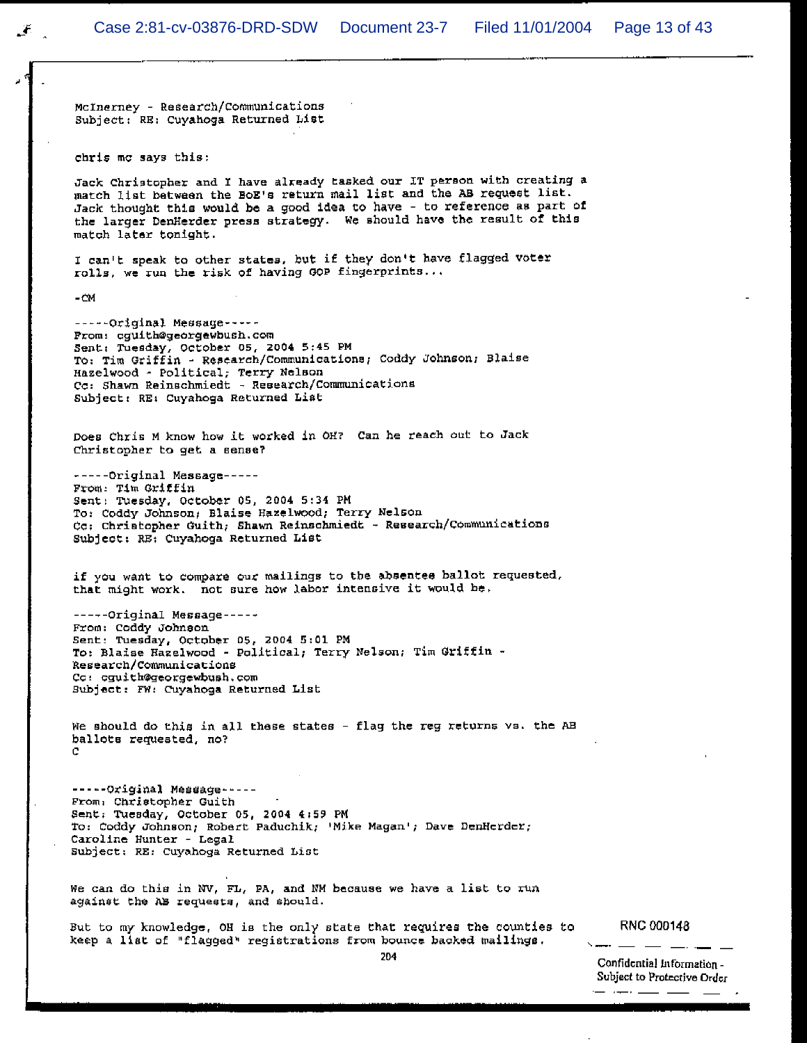McInerney - Research/Communications Subject: RE: Cuyahoga Returned List

chris mc says this:

Jack Christopher and I have already tasked our IT person with creating a match list between the BoE's return mail list and the AB request list. Jack thought this would be a good idea to have - to reference as part of the larger DenHerder press strategy. We should have the result of this match later tonight.

I can't speak to other states, but if they don't have flagged voter rolls, we run the risk of having GOP fingerprints...

 $-CM$ 

-----Original Message-----From: cguith@georgewbush.com Sent: Tuesday, October 05, 2004 5:45 PM To: Tim Griffin - Research/Communications; Coddy Johnson; Blaise Hazelwood - Political; Terry Nelson Cc: Shawn Reinschmiedt - Research/Communications Subject: RE: Cuyahoga Returned List

Does Chris M know how it worked in OH? Can he reach out to Jack Christopher to get a sense?

-----Original Message-----From: Tim Griffin Sent: Tuesday, October 05, 2004 5:34 PM To: Coddy Johnson; Blaise Hazelwood; Terry Nelson Cc: Christopher Guith, Shawn Reinschmiedt - Research/Communications Subject: RE: Cuyahoga Returned List

if you want to compare our mailings to the absentee ballot requested. that might work. not sure how labor intensive it would be.

-----Original Message-----From: Coddy Johnson Sent: Tuesday, October 05, 2004 5:01 PM To: Blaise Hazelwood - Political; Terry Nelson; Tim Griffin -Research/Communications Cc: cguith@georgewbush.com Subject: FW: Cuyahoga Returned List

We should do this in all these states - flag the reg returns vs. the AB ballots requested, no?  $\cap$ 

-----Original Message-----From: Christopher Guith Sent: Tuesday, October 05, 2004 4:59 PM To: Coddy Johnson; Robert Paduchik; 'Mike Magan'; Dave DenHerder; Caroline Hunter - Legal Subject: RE: Cuyahoga Returned List

We can do this in NV, FL, PA, and NM because we have a list to run against the AB requests, and should.

But to my knowledge, OH is the only state that requires the counties to keep a list of "flagged" registrations from bounce backed mailings.

**RNC 000148**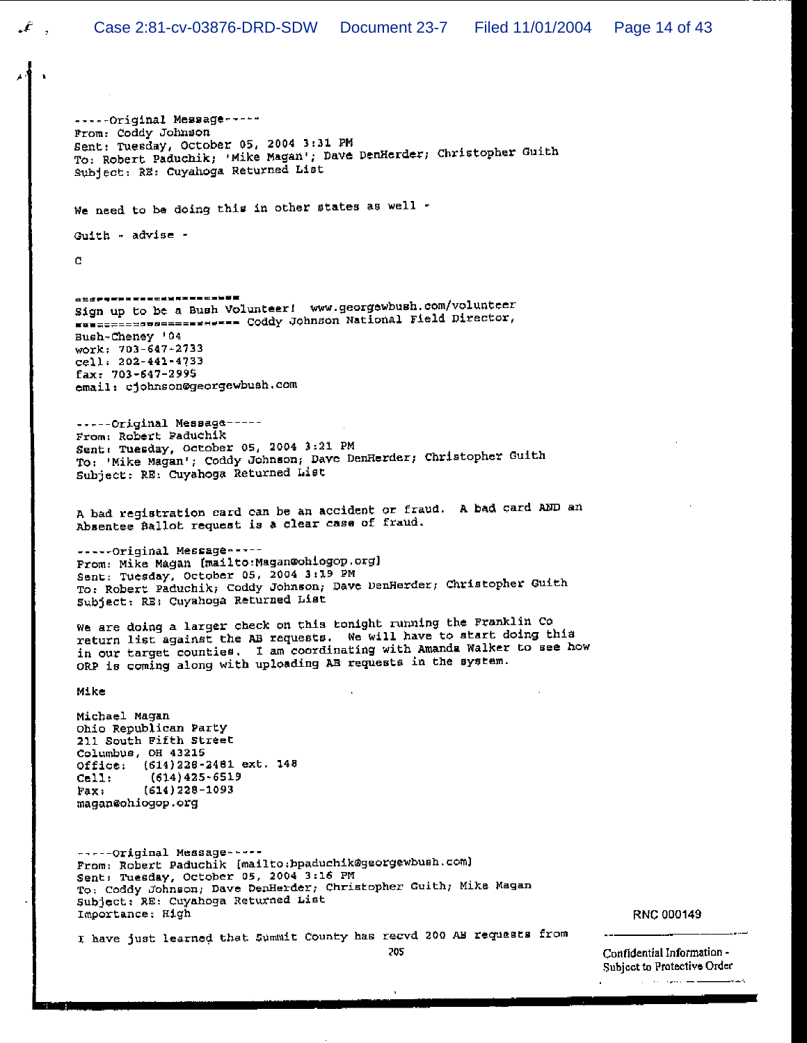-----Original Message-----From: Coddy Johnson Sent: Tuesday, October 05, 2004 3:31 PM To: Robert Paduchik; 'Mike Magan'; Dave DenHerder; Christopher Guith Subject: RE: Cuyahoga Returned List

We need to be doing this in other states as well -

 $Gulth - advise -$ 

C.

**出兰江伊特里斯加亚省美国区或城市美国加拿大加美国** Sign up to be a Bush Volunteer! www.georgewbush.com/volunteer www.compositional Field Director, Bush-Cheney '04 work: 703-647-2733 cell: 202-441-4733 fax: 703-647-2995 email: cjohnson@georgewbush.com

-----Original Message-----From: Robert Paduchik Sent: Tuesday, October 05, 2004 3:21 PM To: 'Mike Magan'; Coddy Johnson; Dave DenHerder; Christopher Guith Subject: RE: Cuyahoga Returned List

A bad registration card can be an accident or fraud. A bad card AND an Absentee Ballot request is a clear case of fraud.

-----Original Message -----From: Mike Magan (mailto: Magan@ohiogop.org) Sent: Tuesday, October 05, 2004 3:19 PM To: Robert Paduchik; Coddy Johnson; Dave DenHerder; Christopher Guith Subject: RE: Cuyahoga Returned List

We are doing a larger check on this tonight running the Franklin Co return list against the AB requests. We will have to start doing this in our target counties. I am coordinating with Amanda Walker to see how ORP is coming along with uploading AB requests in the system.

Mike

Michael Magan Ohio Republican Party 211 South Fifth Street Columbus, OH 43215 Office: (614)228-2481 ext. 148  $(614)425 - 6519$  $Cell:$  $(614)$  228-1093 Fax: magan@ohiogop.org

-----Original Message-----From: Robert Paduchik [mailto:bpaduchik@georgewbush.com] Sent: Tuesday, October 05, 2004 3:16 PM To: Coddy Johnson; Dave DenHerder; Christopher Guith; Mike Magan Subject: RE: Cuyahoga Returned List Importance: High

RNC 000149

I have just learned that Summit County has recvd 200 AB requests from

205

Confidential Information -Subject to Protective Order  $\mathcal{L}_{\mathcal{L}}$  and  $\mathcal{L}_{\mathcal{L}}$  and  $\mathcal{L}_{\mathcal{L}}$  are also assumed to the contract of é.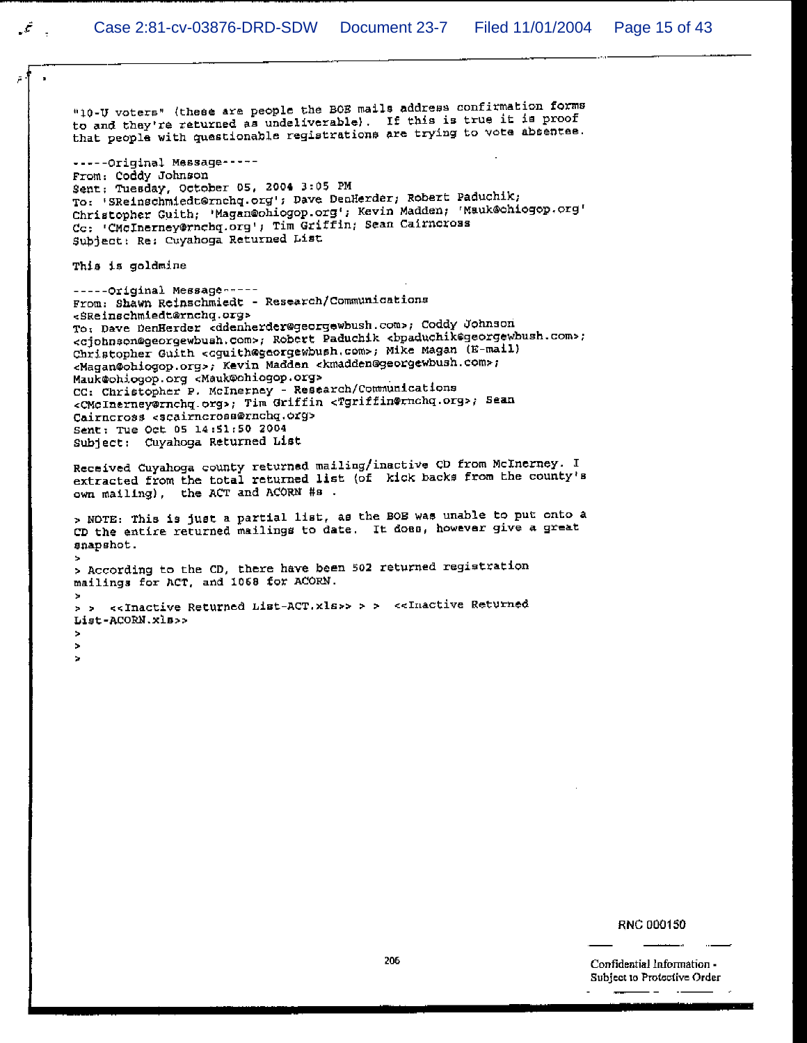$\mathcal{L}$ 

"10-U voters" (these are people the BOB mails address confirmation forms to and they're returned as undeliverable). If this is true it is proof that people with questionable registrations are trying to vote absentee. -----Original Message-----From: Coddy Johnson Sent: Tuesday, October 05, 2004 3:05 PM To: 'SReinschmiedt@rnchq.org'; Dave DenHerder; Robert Paduchik; Christopher Guith; 'Magan@ohiogop.org'; Kevin Madden; 'Mauk@ohiogop.org' Cc: 'CMcInerney@rnchq.org'; Tim Griffin; Sean Cairncross Subject: Re: Cuyahoga Returned List This is goldmine -----Original Message-----From: Shawn Reinschmiedt - Research/Communications <SReinschmiedt@rnchq.org> To: Dave DenHerder <ddenherder@georgewbush.com>; Coddy Johnson <cjohnson@georgewbush.com>; Robert Paduchik <bpaduchik@georgewbush.com>; Christopher Guith <cguith@georgewbush.com>; Mike Magan (E-mail) <Magan@obiogop.org>; Kevin Madden <kmadden@georgewbush.com>; Mauk@ohiogop.org <Mauk@ohiogop.org> CC: Christopher P. McInerney - Research/Communications <CMcInerney@rnchq.org>; Tim Griffin <Tgriffin@rnchq.org>; Sean Cairncross <scairncross@rnchq.org> Sent: Tue Oct 05 14:51:50 2004 Subject: Cuyahoga Returned List Received Cuyahoga county returned mailing/inactive CD from McInerney. I extracted from the total returned list (of kick backs from the county's own mailing), the ACT and ACORN #s. > NOTE: This is just a partial list, as the BOE was unable to put onto a CD the entire returned mailings to date. It does, however give a great snapshot. > According to the CD, there have been 502 returned registration mailings for ACT, and 1068 for ACORN. > > <<Inactive Returned List-ACT.xls>> > > <<Inactive Returned List-ACORN.xls>>  $\overline{a}$  $\ddot{\phantom{0}}$ 

RNC 000150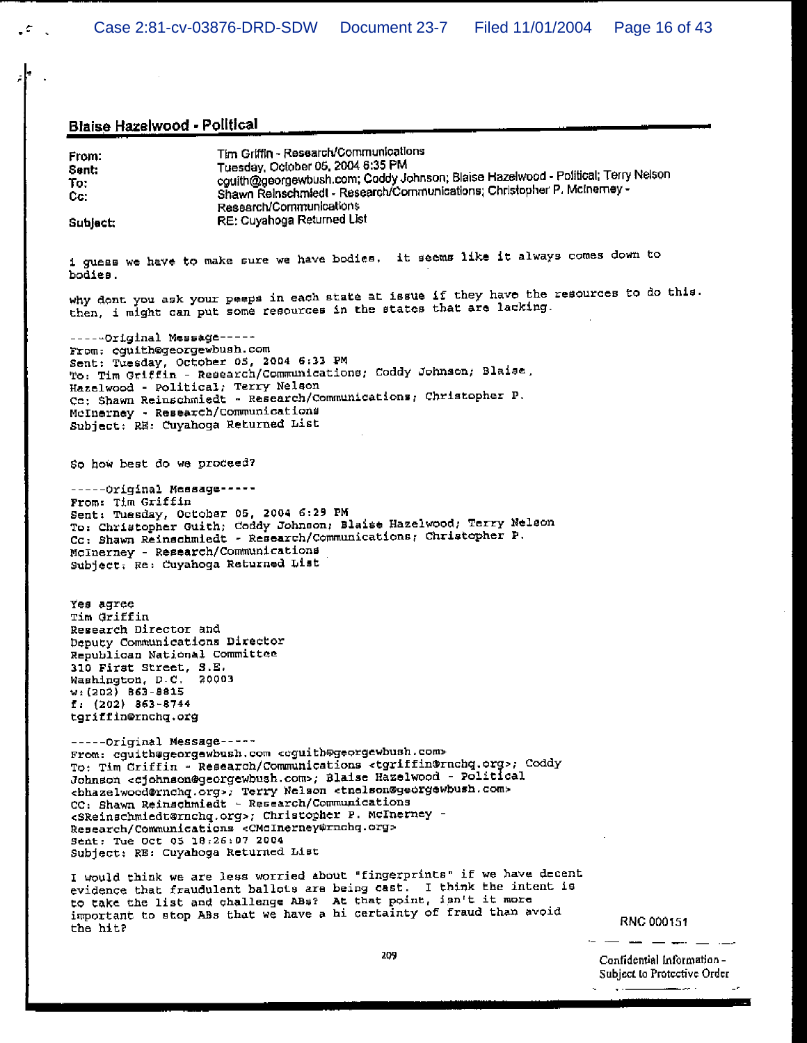## Blaise Hazelwood - Political entry and the contract of the contract of the contract of the contract of the contract of the contract of the contract of the contract of the contract of the contract of the contract of the con

 $\sim 10^{-1}$ 

 $\mathcal{L}_{\mathcal{L}}$ 

| From:<br>Sent:<br>To:<br>Cc:                                                                                                                                                                                                                 | Tim Griffin - Research/Communications<br>Tuesday, October 05, 2004 6:35 PM<br>cguith@georgewbush.com; Coddy Johnson; Blaise Hazelwood - Political; Terry Nelson<br>Shawn Reinschmiedt - Research/Communications; Christopher P. McInemey -<br>Research/Communications<br>RE: Cuyahoga Returned List                                                                                                                                                                                                                                                                                                                  |                                                           |
|----------------------------------------------------------------------------------------------------------------------------------------------------------------------------------------------------------------------------------------------|----------------------------------------------------------------------------------------------------------------------------------------------------------------------------------------------------------------------------------------------------------------------------------------------------------------------------------------------------------------------------------------------------------------------------------------------------------------------------------------------------------------------------------------------------------------------------------------------------------------------|-----------------------------------------------------------|
| Subject:                                                                                                                                                                                                                                     |                                                                                                                                                                                                                                                                                                                                                                                                                                                                                                                                                                                                                      |                                                           |
| bodies.                                                                                                                                                                                                                                      | i guess we have to make sure we have bodies. It seems like it always comes down to                                                                                                                                                                                                                                                                                                                                                                                                                                                                                                                                   |                                                           |
|                                                                                                                                                                                                                                              | why dont you ask your peeps in each state at issue if they have the resources to do this.<br>then, i might can put some resources in the states that are lacking.                                                                                                                                                                                                                                                                                                                                                                                                                                                    |                                                           |
| -----Original Message-----<br>From: cguith@georgewbush.com<br>Sent: Tuesday, October 05, 2004 6:33 PM<br>Hazelwood - Political; Terry Nelson<br>McInerney - Research/Communications<br>Subject: RE: Cuyahoga Returned List                   | To: Tim Griffin - Research/Communications; Coddy Johnson; Blaise,<br>Co: Shawn Reinschmiedt - Research/Communications; Christopher P.                                                                                                                                                                                                                                                                                                                                                                                                                                                                                |                                                           |
| So how best do we proceed?                                                                                                                                                                                                                   |                                                                                                                                                                                                                                                                                                                                                                                                                                                                                                                                                                                                                      |                                                           |
| -----Original Message-----<br>From: Tim Griffin<br>Sent: Tuesday, October 05, 2004 6:29 PM<br>McInerney - Research/Communications<br>Subject: Re: Cuyahoga Returned List                                                                     | To: Christopher Guith; Coddy Johnson; Blaise Hazelwood; Terry Nelson<br>Cc: Shawn Reinschmiedt - Research/Communications; Christopher P.                                                                                                                                                                                                                                                                                                                                                                                                                                                                             |                                                           |
| Yes agree<br>Tim Griffin<br>Research Director and<br>Deputy Communications Director<br>Republican National Committee<br>310 First Street, S.E.<br>Washington, D.C. 20003<br>$w: (202)$ 863-8815<br>$1: (202)$ 863-8744<br>tgriffin@rnchq.org |                                                                                                                                                                                                                                                                                                                                                                                                                                                                                                                                                                                                                      |                                                           |
| -----Original Message-----<br>Sent: Tue Oct 05 18:26:07 2004<br>Subject: RE: Cuyahoga Returned List                                                                                                                                          | From: cguith@georgewbush.com <cguith@georgewbush.com><br/>To: Tim Criffin - Research/Communications <tgriffin@rnchq.org>; Coddy<br/>Johnson <cjohnson@georgewbush.com>; Blaise Hazelwood - Political<br/><bhazelwood@rnchq.org>; Terry Nelson <tnelson@georgewbush.com><br/>CC: Shawn Reinschmiedt - Research/Communications<br/><sreinschmiedt@rnchq.org>; Christopher P. McInerney -<br/>Research/Communications <cmcinerney@rnchq.org></cmcinerney@rnchq.org></sreinschmiedt@rnchq.org></tnelson@georgewbush.com></bhazelwood@rnchq.org></cjohnson@georgewbush.com></tgriffin@rnchq.org></cguith@georgewbush.com> |                                                           |
| the hit?                                                                                                                                                                                                                                     | I would think we are less worried about "fingerprints" if we have decent<br>evidence that fraudulent ballots are being cast. I think the intent is<br>to take the list and challenge ABs? At that point, isn't it more<br>important to stop ABs that we have a hi certainty of fraud than avoid                                                                                                                                                                                                                                                                                                                      | RNC 000151                                                |
|                                                                                                                                                                                                                                              | 209                                                                                                                                                                                                                                                                                                                                                                                                                                                                                                                                                                                                                  | Confidential Information -<br>Subject to Protective Order |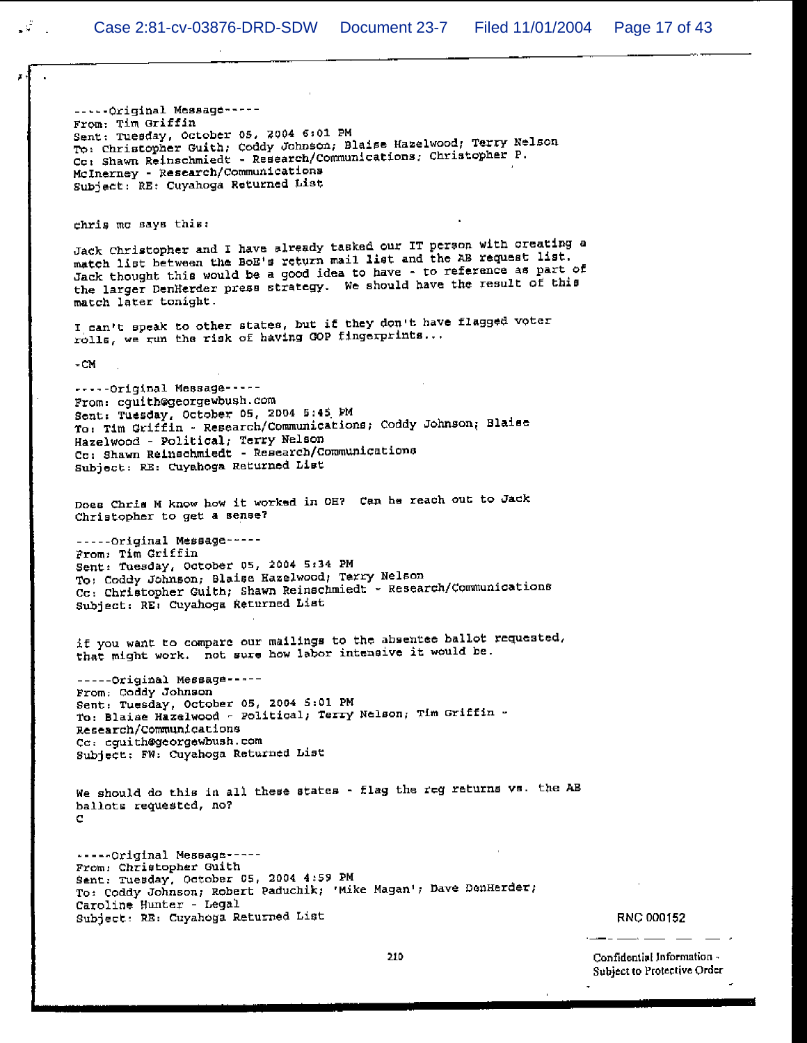-----Original Message-----From: Tim Griffin Sent: Tuesday, October 05, 2004 6:01 PM To: Christopher Guith, Coddy Johnson, Blaise Hazelwood, Terry Nelson Co: Shawn Reinschmiedt - Research/Communications; Christopher P. McInerney - Research/Communications Subject: RE: Cuyahoga Returned List

chris me says this:

Jack Christopher and I have already tasked our IT person with creating a match list between the BoE's return mail list and the AB request list. Jack thought this would be a good idea to have - to reference as part of the larger DenHerder press strategy. We should have the result of this match later tonight.

I can't speak to other states, but if they don't have flagged voter rolls, we run the risk of having GOP fingerprints...

 $-CM$ 

 $\mathcal{G}^{\mathcal{G}}$ 

-----Original Message-----From: cquith@georgewbush.com Sent: Tuesday, October 05, 2004 5:45 PM To: Tim Griffin - Research/Communications; Coddy Johnson; Blaise Hazelwood - Political, Terry Nelson Cc: Shawn Reinschmiedt - Research/Communications Subject: RE: Cuyahoga Returned List

Does Chris M know how it worked in OH? Can he reach out to Jack Christopher to get a sense?

-----Original Message-----From: Tim Griffin Sent: Tuesday, October 05, 2004 5:34 PM To: Coddy Johnson; Blaise Hazelwood; Terry Nelson Cc: Christopher Guith; Shawn Reinschmiedt - Research/Communications Subject: RE: Cuyahoga Returned List

if you want to compare our mailings to the absentee ballot requested, that might work. not sure how labor intensive it would be.

-----Original Message-----From: Coddy Johnson Sent: Tuesday, October 05, 2004 5:01 PM To: Blaise Hazelwood - Political; Terry Nelson; Tim Griffin -Research/Communications Cc: cguith@georgewbush.com Subject: FW: Cuyahoga Returned List

We should do this in all these states - flag the reg returns vs. the AB ballots requested, no?

-----Original Message-----From: Christopher Guith Sent: Tuesday, October 05, 2004 4:59 PM To: Coddy Johnson; Robert Paduchik; 'Mike Magan'; Dave DenHerder; Caroline Hunter - Legal Subject: RE: Cuyahoga Returned List

**RNC 000152**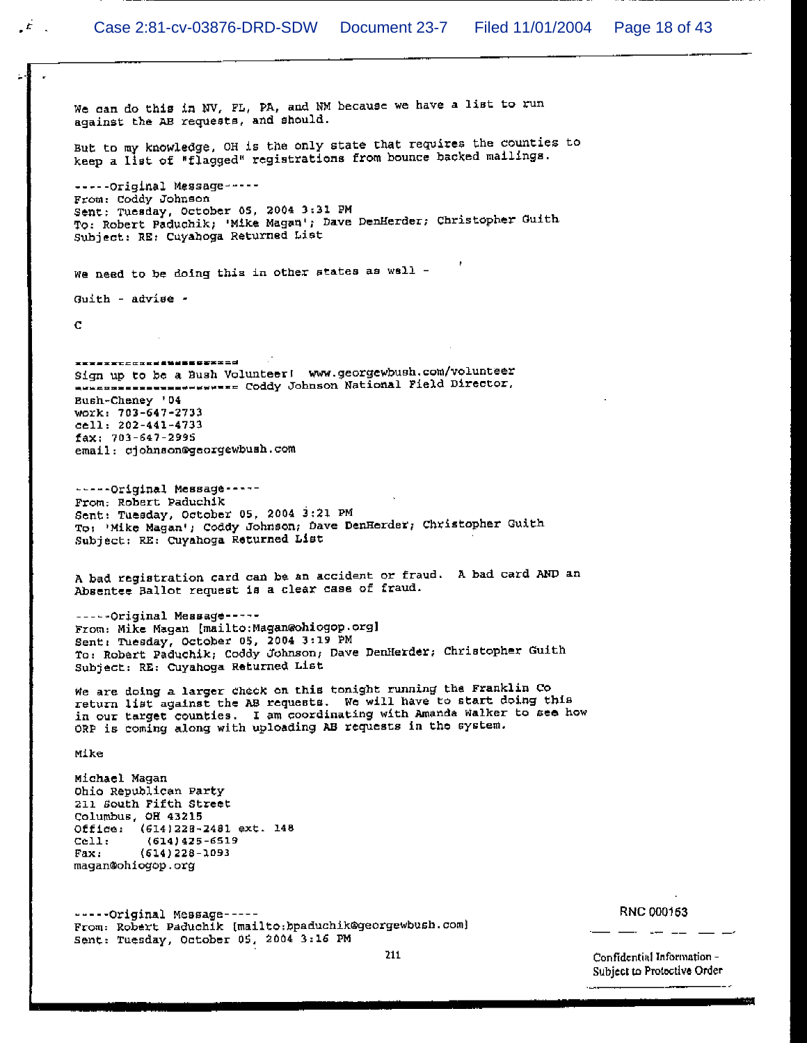LE L

We can do this in NV, FL, PA, and NM because we have a list to run against the AB requests, and should. But to my knowledge, OH is the only state that requires the counties to keep a list of "flagged" registrations from bounce backed mailings. -----Original Message-----From: Coddy Johnson Sent: Tuesday, October 05, 2004 3:31 PM Sent: Tuesday, October 05, 2004 3:31 FM<br>To: Robert Paduchik; 'Mike Magan'; Dave DenHerder; Christopher Guith Subject: RE: Cuyahoga Returned List We need to be doing this in other states as well -Guith - advise - $\mathbf{C}$ \*\*\*\*\*\*\*\*\*\*\*\*\*\*\*\*\*\*\*\*\*\*\*\*\* Sign up to be a Bush Volunteer! www.georgewbush.com/volunteer ALLER AND TO ACTE AND MOREOVER AND STREET START PIELD Director, Bush-Cheney '04 work: 703-647-2733 cell: 202-441-4733 fax: 703-647-2995 email: cjohnson@georgewbush.com -----Original Message-----From: Robert Paduchik Sent: Tuesday, October 05, 2004 3:21 PM To: 'Mike Magan'; Coddy Johnson; Dave DenHerder; Christopher Guith Subject: RE: Cuyahoga Returned List A bad registration card can be an accident or fraud. A bad card AND an Absentee Ballot request is a clear case of fraud. -----Original Message-----From: Mike Magan [mailto: Magan@ohiogop.org] Sent: Tuesday, October 05, 2004 3:19 PM To: Robert Paduchik; Coddy Johnson, Dave DenHerder; Christopher Guith Subject: RE: Cuyahoga Returned List We are doing a larger check on this tonight running the Franklin Co return list against the AB requests. We will have to start doing this in our target counties. I am coordinating with Amanda Walker to see how ORP is coming along with uploading AB requests in the system. Mike Michael Magan Ohio Republican Party 211 South Fifth Street Columbus, OH 43215 Office: (614)228-2481 ext. 148  $(614)425 - 6519$  $cell:$ Fax:  $(614)$  228-1093 magan@ohiogop.org -----Original Message-----From: Robert Paduchik [mailto:bpaduchik@georgewbush.com] Sent: Tuesday, October 05, 2004 3:16 PM 211

RNC 000153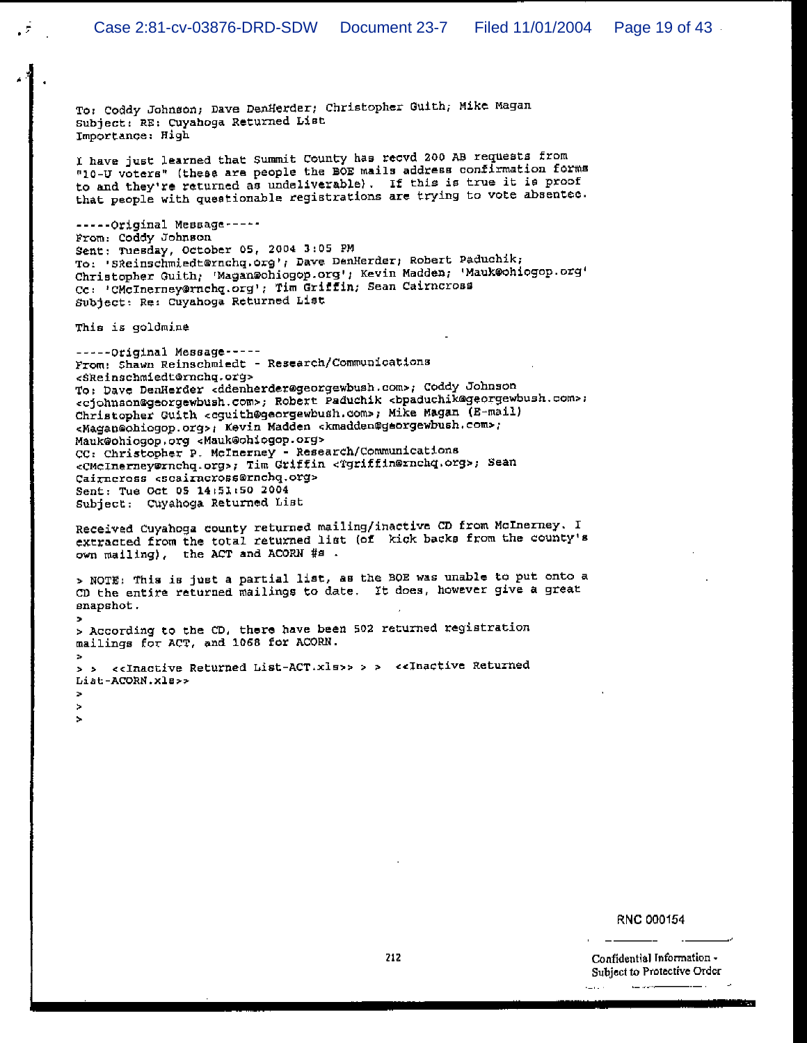To: Coddy Johnson; Dave DenHerder; Christopher Guith; Mike Magan Subject: RE: Cuyahoga Returned List Importance: High

I have just learned that Summit County has recvd 200 AB requests from "10-U voters" (these are people the BOE mails address confirmation forms to and they're returned as undeliverable). If this is true it is proof that people with questionable registrations are trying to vote absentee.

-----Original Message-----From: Coddy Johnson Sent: Tuesday, October 05, 2004 3:05 PM To: 'SReinschmiedt@rnchq.org'; Dave DenHerder; Robert Paduchik; Christopher Guith; 'Magan@ohiogop.org'; Kevin Madden; 'Mauk@ohiogop.org' Cc: 'CMcInerney@rnchq.org'; Tim Griffin; Sean Cairncross Subject: Re: Cuyahoga Returned List

This is goldmine

ö. ×  $\overline{\phantom{a}}$ 

-----Original Message-----From: Shawn Reinschmiedt - Research/Communications <SReinschmiedt@rnchq.org> To: Dave DenHerder <ddenherder@georgewbush.com>; Coddy Johnson <cjohnson@georgewbush.com>; Robert Paduchik <bpaduchik@georgewbush.com>; Christopher Guith <cguith@georgewbush.com>; Mike Magan (E-mail) <Magan@ohiogop.org>; Kevin Madden <kmadden@gaorgewbush.com>; Mauk@ohiogop.org <Mauk@ohiogop.org> CC: Christopher P. McInerney - Research/Communications <CMcInerney@rnchq.org>; Tim Griffin <Tgriffin@rnchq.org>; Sean Cairneross <scairneross@rnchq.org> Sent: Tue Oct 05 14:51:50 2004 Subject: Cuyahoga Returned List

Received Cuyahoga county returned mailing/inactive CD from McInerney. I extracted from the total returned list (of kick backs from the county's own mailing), the ACT and ACORN #s.

> NOTE: This is just a partial list, as the BOE was unable to put onto a CD the entire returned mailings to date. It does, however give a great snapshot.

> According to the CD, there have been 502 returned registration mailings for ACT, and 1068 for ACORN.

> > <<Inactive Returned List-ACT.xls>> > > <<Inactive Returned Liat-ACORN.xls>>

#### RNC 000154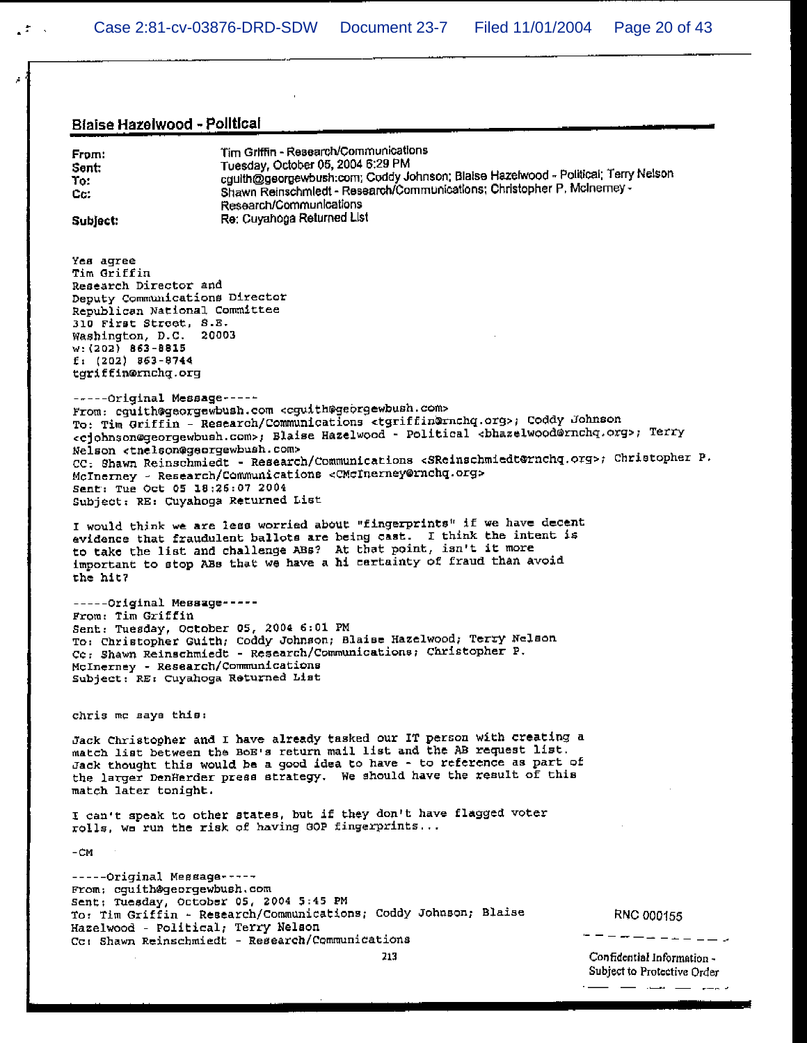$\sim$   $-$ 

. . . . . <u>. . . . .</u>

 $\sim$   $\sim$   $\sim$   $\sim$   $\sim$ 

## Blaise Hazelwood - Political

À

| Blaise Hazelwood - Political                                                                                                                                                                                                                                                                                                                                                                                                                                                                                                                                                                                                                                                                                              |                                                           |  |  |
|---------------------------------------------------------------------------------------------------------------------------------------------------------------------------------------------------------------------------------------------------------------------------------------------------------------------------------------------------------------------------------------------------------------------------------------------------------------------------------------------------------------------------------------------------------------------------------------------------------------------------------------------------------------------------------------------------------------------------|-----------------------------------------------------------|--|--|
| Tim Griffin - Research/Communications<br>From:<br>Tuesday, October 05, 2004 6:29 PM<br>Sent:<br>cguith@georgewbush.com; Coddy Johnson; Blaise Hazelwood - Political; Terry Nelson<br>To:<br>Shawn Reinschmledt - Research/Communications; Christopher P. McInemey -<br>Cc.<br>Research/Communications<br>Re: Cuyahoga Returned List<br>Subject:                                                                                                                                                                                                                                                                                                                                                                           |                                                           |  |  |
| Yes agree<br>Tim Griffin.<br>Research Director and<br>Deputy Communications Director<br>Republican National Committee<br>310 First Street, S.E.<br>Washington, D.C. 20003<br>$v: (202)$ 863-8815<br>$f: (202)$ 863-8744<br>tgriffin@rnchq.org                                                                                                                                                                                                                                                                                                                                                                                                                                                                             |                                                           |  |  |
| -----Original Message-----<br>From: cguith@georgewbush.com <cguith@georgewbush.com><br/>To: Tim Griffin - Research/Communications <tgriffin@rnchq.org>; Coddy Johnson<br/><cjohnson@georgewbush.com>; Blaise Hazelwood - Political <br/> <br/> <br/> <br/> <br/> <br/> <br/> <br/>Ferry<br/>Nelson <tnelson@georgewbush.com><br/>CC: Shawn Reinschmiedt - Research/Communications <sreinschmiedt@rnchq.org>; Christopher P.<br/>McInerney - Research/Communications <cmcinerney@rnchq.org><br/>Sent: Tue Oct 05 18:26:07 2004<br/>Subject: RE: Cuyahoga Returned List</cmcinerney@rnchq.org></sreinschmiedt@rnchq.org></tnelson@georgewbush.com></cjohnson@georgewbush.com></tgriffin@rnchq.org></cguith@georgewbush.com> |                                                           |  |  |
| I would think we are less worried about "fingerprints" if we have decent<br>evidence that fraudulent ballots are being cast. I think the intent is<br>to take the list and challenge ABs? At that point, isn't it more<br>important to stop ABs that we have a hi cartainty of fraud than avoid<br>the hit?                                                                                                                                                                                                                                                                                                                                                                                                               |                                                           |  |  |
| -----Original Message-----<br>From: Tim Griffin<br>Sent: Tuesday, October 05, 2004 6:01 PM<br>To: Christopher Guith; Coddy Johnson; Blaise Hazelwood; Terry Nelson<br>Cc: Shawn Reinschmiedt - Research/Communications; Christopher P.<br>McInerney - Research/Communications<br>Subject: RE: Cuyahoga Returned List                                                                                                                                                                                                                                                                                                                                                                                                      |                                                           |  |  |
| chris me says this:                                                                                                                                                                                                                                                                                                                                                                                                                                                                                                                                                                                                                                                                                                       |                                                           |  |  |
| Jack Christopher and I have already tasked our IT person with creating a<br>match list between the BoE's return mail list and the AB request list.<br>Jack thought this would be a good idea to have - to reference as part of<br>the larger DenHerder press strategy. We should have the result of this<br>match later tonight.                                                                                                                                                                                                                                                                                                                                                                                          |                                                           |  |  |
| I can't speak to other states, but if they don't have flagged voter<br>rolls, we run the risk of having GOP fingerprints                                                                                                                                                                                                                                                                                                                                                                                                                                                                                                                                                                                                  |                                                           |  |  |
| -CM                                                                                                                                                                                                                                                                                                                                                                                                                                                                                                                                                                                                                                                                                                                       |                                                           |  |  |
| -----Original Message-----<br>From: cguith@georgewbush.com<br>Sent: Tuesday, October 05, 2004 5:45 PM<br>To: Tim Griffin - Research/Communications; Coddy Johnson; Blaise<br>Hazelwood - Political; Terry Nelson<br>Cc: Shawn Reinschmiedt - Research/Communications                                                                                                                                                                                                                                                                                                                                                                                                                                                      | RNC 000155                                                |  |  |
| 213                                                                                                                                                                                                                                                                                                                                                                                                                                                                                                                                                                                                                                                                                                                       | Confidential Information -<br>Subject to Protective Order |  |  |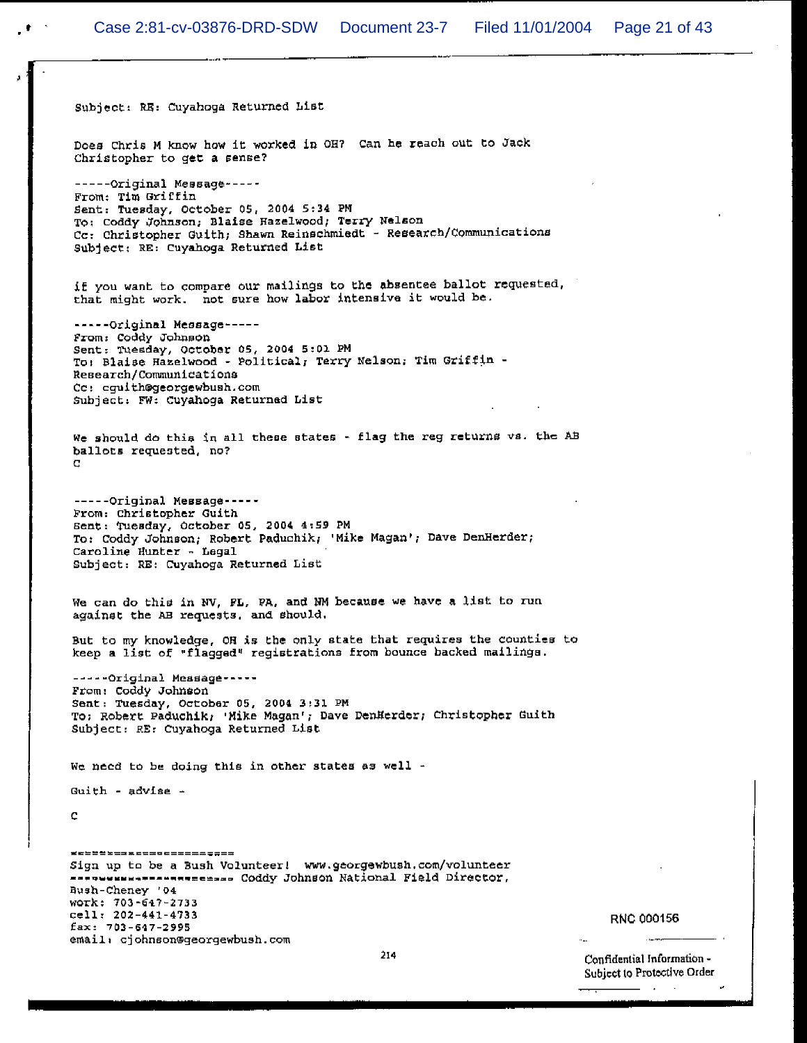Subject: RE: Cuyahoga Returned List Does Chris M know how it worked in OH? Can he reach out to Jack Christopher to get a sense?  $---Orrjinal Message---$ From: Tim Griffin Sent: Tuesday, October 05, 2004 5:34 PM To: Coddy Johnson; Blaise Hazelwood; Terry Nelson Cc: Christopher Guith; Shawn Reinschmiedt - Research/Communications Subject: RE: Cuyahoga Returned List if you want to compare our mailings to the absentee ballot requested, that might work. not sure how labor intensive it would be. -----Original Message-----From: Coddy Johnson Sent: Tuesday, October 05, 2004 5:01 PM To: Blaise Hazelwood - Political, Terry Nelson, Tim Griffin -Research/Communications Cc: cquith@georgewbush.com Subject: FW: Cuyahoga Returned List We should do this in all these states - flag the reg returns vs. the AB ballots requested, no?  $\mathbf C$ -----Original Message-----From: Christopher Guith Sent: Tuesday, October 05, 2004 4:59 PM To: Coddy Johnson; Robert Paduchik; 'Mike Magan'; Dave DenHerder; Caroline Hunter - Legal Subject: RE: Cuyahoga Returned List We can do this in NV, FL, PA, and NM because we have a list to run against the AB requests, and should. But to my knowledge, OH is the only state that requires the counties to keep a list of "flagged" registrations from bounce backed mailings. -----Original Message-----From: Coddy Johnson Sent: Tuesday, October 05, 2004 3:31 PM To: Robert Paduchik, 'Mike Magan'; Dave DenHerder; Christopher Guith Subject: RE: Cuyahoga Returned List We need to be doing this in other states as well -Guith - advise -C \_\_\_\_\_\_\_\_\_\_\_\_\_\_\_\_\_\_\_\_\_\_\_\_\_\_ Sign up to be a Bush Volunteer! www.georgewbush.com/volunteer ---------------------- Coddy Johnson National Field Director, **Bush-Cheney '04** WOTK: 703-647-2733 cell: 202-441-4733 fax: 703-547-2995 email: cjohnson@georgewbush.com

**RNC 000156**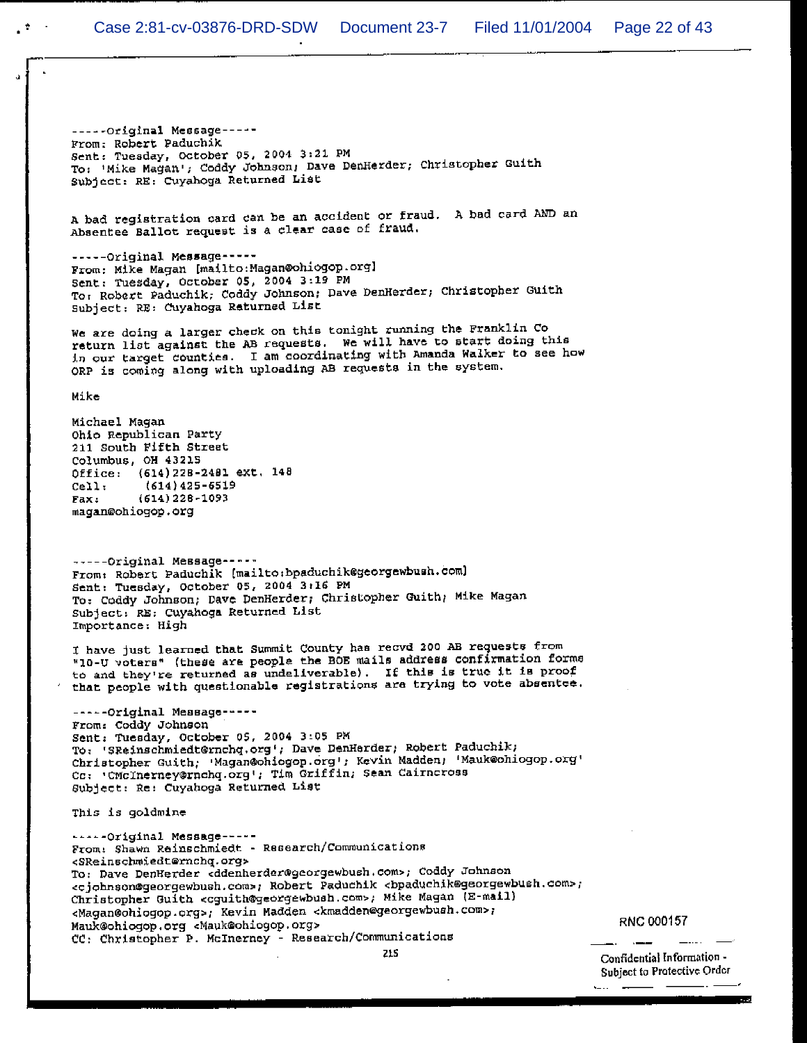-----Original Message-----From: Robert Paduchik Sent: Tuesday, October 05, 2004 3:21 PM To: 'Mike Magan'; Coddy Johnson, Dave DenHerder; Christopher Guith Subject: RE: Cuyahoga Returned List

A bad registration card can be an accident or fraud. A bad card AND an Absentee Ballot request is a clear case of fraud.

-----Original Message-----From: Mike Magan [mailto: Magan@ohiogop.org] Sent: Tuesday, October 05, 2004 3:19 PM To: Robert Paduchik, Coddy Johnson; Dave DenHerder; Christopher Guith Subject: RE: Cuyahoga Returned List

We are doing a larger check on this tonight running the Franklin Co return list against the AB requests. We will have to start doing this in our target counties. I am coordinating with Amanda Walker to see how ORP is coming along with uploading AB requests in the system.

Mike

Michael Magan Ohio Republican Party 211 South Fifth Street Columbus, OH 43215 Office: (614)228-2481 ext. 148  $(614)425 - 6519$ Cell:  $(614)$  228-1093 Fax: magan@ohiogop.org

-----Original Message -----From: Robert Paduchik (mailto:bpaduchik@georgewbush.com) Sent: Tuesday, October 05, 2004 3:16 PM To: Coddy Johnson; Dave DenHerder; Christopher Guith; Mike Magan Subject: RE: Cuyahoga Returned List Importance: High

I have just learned that Summit County has recvd 200 AB requests from "10-U voters" (these are people the BOE mails address confirmation forms to and they're returned as undeliverable). If this is true it is proof that people with questionable registrations are trying to vote absentee.

-----Original Message-----From: Coddy Johnson Sent: Tuesday, October 05, 2004 3:05 PM To: 'SReinschmiedt@rnchq.org'; Dave DenHerder; Robert Paduchik; Christopher Guith; 'Magan@ohiogop.org'; Kevin Madden; 'Mauk@ohiogop.org' Co: 'CMcInerney@rnchq.org'; Tim Griffin; Sean Cairneross Subject: Re: Cuyahoga Returned List

This is goldmine

-----Original Message-----From: Shawn Reinschmiedt - Research/Communications <SReinschmiedt@rnchq.org> To: Dave DenHerder <ddenherder@georgewbush.com>; Coddy Johnson <cjohnson@georgewbush.com>; Robert Paduchik <bpaduchik@georgewbush.com>; Christopher Guith <cguith@georgewbush.com>; Mike Magan (E-mail) <Magan@ohiogop.org>; Kevin Madden <kmadden@georgewbush.com>; Mauk@ohiogop.org <Mauk@ohiogop.org> CC: Christopher P. McInerney - Research/Communications

215

RNC 000157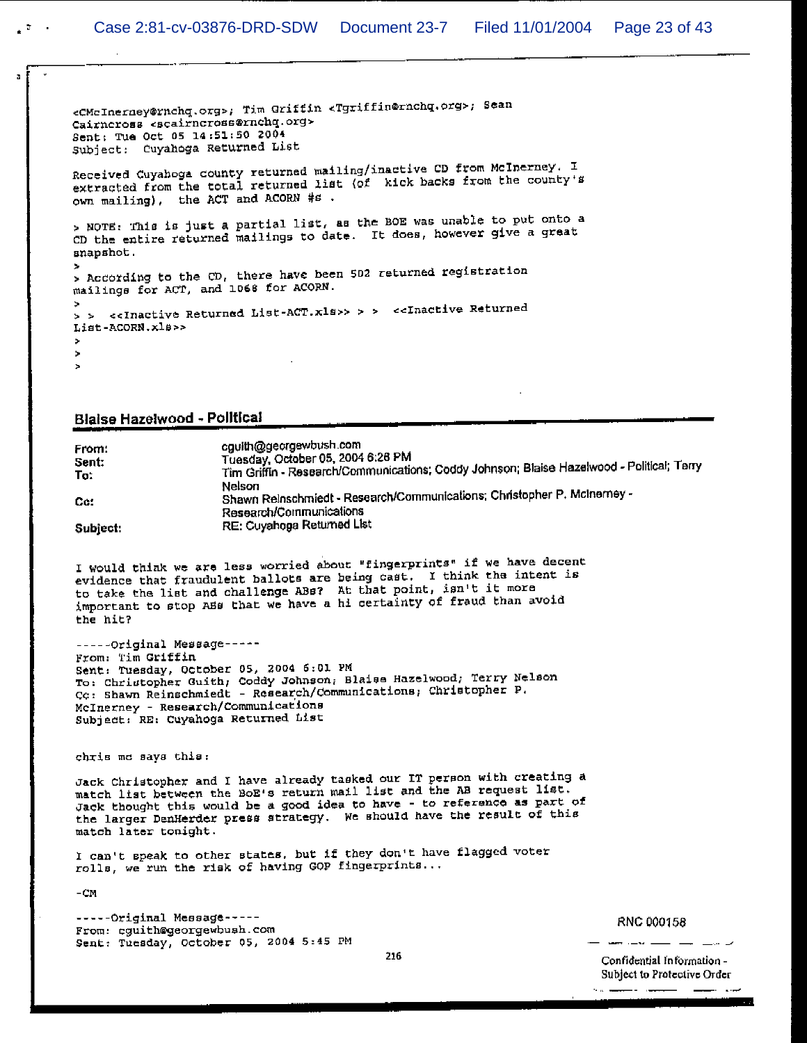<CMcInerney@rnchq.org>; Tim Griffin <Tgriffin@rnchq.org>; Sean Cairncross «scairncross@rnchq.org> Sent: Tue Oct 05 14:51:50 2004 Subject: Cuyahoga Returned List Received Cuyahoga county returned mailing/inactive CD from McInerney. I extracted from the total returned list (of kick backs from the county's own mailing), the ACT and ACORN #s. > NOTE: This is just a partial list, as the BOE was unable to put onto a CD the entire returned mailings to date. It does, however give a great snapshot. > According to the CD, there have been 502 returned registration mailings for ACT, and 1068 for ACORN. > > <<Inactive Returned List-ACT.xls>> > > <<Inactive Returned List-ACORN.xls>>  $\mathbf{r}$  $\rightarrow$ 

#### Blaise Hazelwood - Political

cauith@georgewbush.com From: Tuesday, October 05, 2004 6:26 PM Sent: Tim Griffin - Research/Communications; Coddy Johnson; Blaise Hazelwood - Political; Terry To: Nelson Shawn Reinschmiedt - Research/Communications; Christopher P. McInemey -Ce: Research/Communications RE: Cuyahoga Returned List Subject:

I would think we are less worried about "fingerprints" if we have decent evidence that fraudulent ballots are being cast. I think the intent is to take the list and challenge ABs? At that point, isn't it more important to stop ABS that we have a hi certainty of fraud than avoid the hit?

-----Original Message-----From: Tim Griffin Sent: Tuesday, October 05, 2004 6:01 PM To: Christopher Guith, Coddy Johnson, Blaise Hazelwood, Terry Nelson Co: Shawn Reinschmiedt - Research/Communications; Christopher P. McInerney - Research/Communications Subject: RE: Cuyahoga Returned List

chris me says this:

Jack Christopher and I have already tasked our IT person with creating a match list between the BoE's return mail list and the AB request list. Jack thought this would be a good idea to have - to reference as part of the larger DenHerder press strategy. We should have the result of this match later tonight.

216

I can't speak to other states, but if they don't have flagged voter rolls, we run the risk of having GOP fingerprints...

 $-CM$ 

-----Original Message-----From: cguith@georgewhush.com Sent: Tuesday, October 05, 2004 5:45 PM

RNC 000158

Confidential Information -Subject to Protective Order

سياني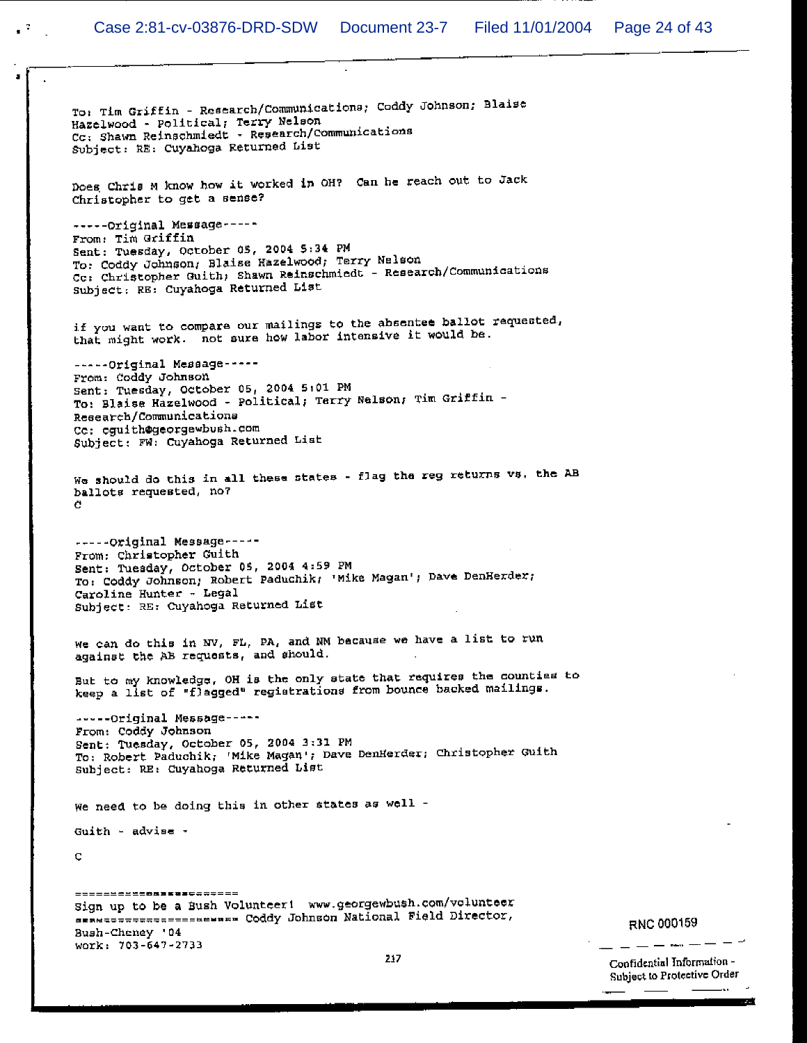$\mathbb{R}^{\mathbb{Z}^n}$ 

To: Tim Griffin - Research/Communications; Coddy Johnson; Blaise Hazelwood - Political; Terry Nelson Cc: Shawn Reinschmiedt - Research/Communications Subject: RE: Cuyahoga Returned List Does Chris M know how it worked in OH? Can he reach out to Jack Christopher to get a sense? -----Original Message-----From: Tim Griffin Sent: Tuesday, October 05, 2004 5:34 PM To: Coddy Johnson, Blaise Hazelwood, Terry Nelson Cc: Christopher Guith; Shawn Reinschmiedt - Research/Communications Subject: RE: Cuyahoga Returned List if you want to compare our mailings to the absentee ballot requested, that might work. not sure how labor intensive it would be. -----Original Message-----From: Coddy Johnson Sent: Tuesday, October 05, 2004 5:01 PM To: Blaise Hazelwood - Political; Terry Nelson; Tim Griffin -Research/Communications Cc: cguith@georgewbush.com Subject: FW: Cuyahoga Returned List We should do this in all these states - flag the reg returns vs, the AB ballots requested, no? C. -----Original Message-----From: Christopher Guith Sent: Tuesday, October 05, 2004 4:59 PM To: Coddy Johnson; Robert Paduchik; 'Mike Magan'; Dave DenHerder; Caroline Hunter - Legal Subject: RE: Cuyahoga Returned List We can do this in NV, FL, PA, and NM because we have a list to run against the AB requests, and should. But to my knowledge, OH is the only state that requires the counties to keep a list of "flagged" registrations from bounce backed mailings. -----Original Message-----From: Coddy Johnson Sent: Tuesday, October 05, 2004 3:31 PM To: Robert Paduchik; 'Mike Magan'; Dave DenHerder; Christopher Guith Subject: RE: Cuyahoga Returned List We need to be doing this in other states as well -Guith - advise -Ç ======================= Sign up to be a Bush Volunteer! www.georgewbush.com/volunteer sese=================== Coddy Johnson National Field Director, Bush-Cheney '04 work: 703-647-2733 217

RNC 000159

Confidential Information -Subject to Protective Order ш.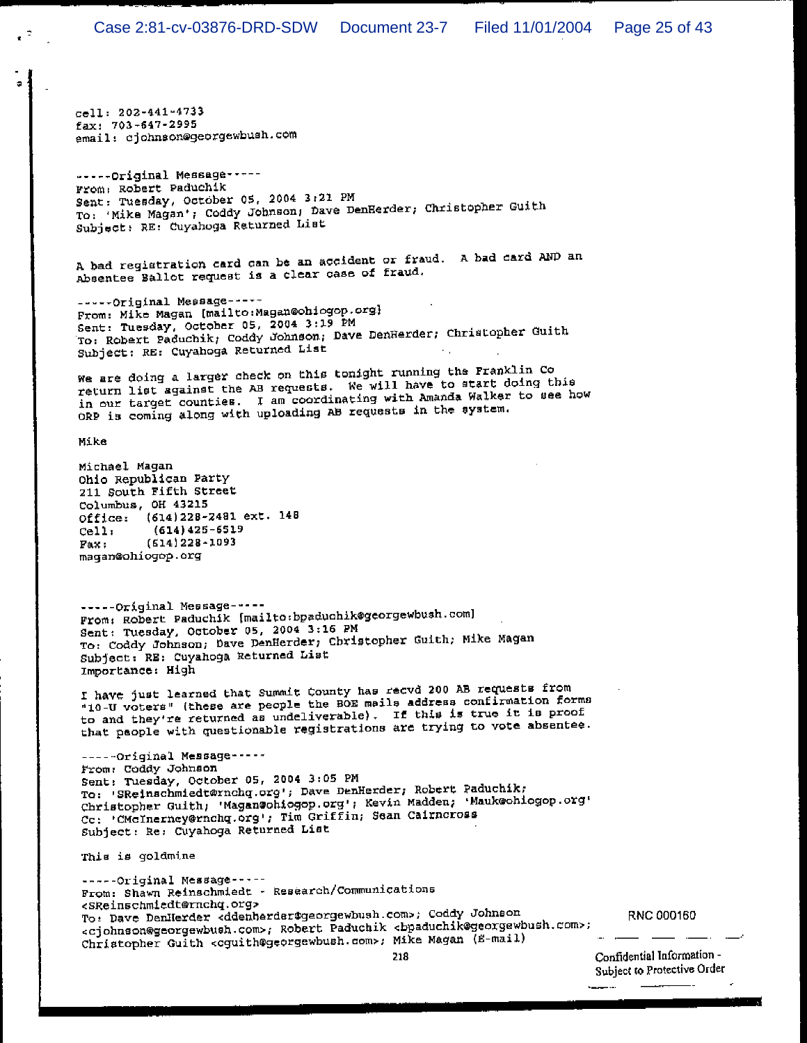cell: 202-441-4733 fax: 703-647-2995 email: cjohnson@georgewbush.com

-----Original Message-----From: Robert Paduchik Sent: Tuesday, October 05, 2004 3:21 PM To: 'Mike Magan'; Coddy Johnson; Dave DenHerder; Christopher Guith Subject: RE: Cuyahoga Returned List

A bad registration card can be an accident or fraud. A bad card AND an Absentee Ballot request is a clear case of fraud.

-----Original Message-----From: Mike Magan [mailto:Magan@ohiogop.org] Sent: Tuesday, October 05, 2004 3:19 PM To: Robert Paduchik; Coddy Johnson; Dave DenHerder; Christopher Guith Subject: RE: Cuyahoga Returned List

We are doing a larger check on this tonight running the Franklin Co return list against the AB requests. We will have to start doing this in our target counties. I am coordinating with Amanda Walker to see how ORP is coming along with uploading AB requests in the system.

Mike

Michael Magan Ohio Republican Party 211 South Fifth Street Columbus, OH 43215 Office: (614)228-2481 ext. 148  $(614)425 - 6519$ cell.  $(614)$  228-1093 Fax: magan@ohiogop.org -----Original Message-----From: Robert Paduchik [mailto:bpaduchik@georgewbush.com]

Sent: Tuesday, October 05, 2004 3:16 PM To: Coddy Johnson; Dave DenHerder; Christopher Guith; Mike Magan Subject: RE: Cuyahoga Returned List Importance: High

I have just learned that Summit County has recvd 200 AB requests from "10-U voters" (these are people the BOE mails address confirmation forms to and they're returned as undeliverable). If this is true it is proof that people with questionable registrations are trying to vote absentee.

-----Original Message-----From: Coddy Johnson Sent: Tuesday, October 05, 2004 3:05 PM To: 'SReinschmiedt@rnchq.org'; Dave DenHerder; Robert Paduchik; Christopher Guith; 'Magan@ohiogop.org'; Kevin Madden; 'Mauk@ohiogop.org' Cc: 'CMcInerney@rnchq.org'; Tim Griffin; Sean Cairneross Subject: Re: Cuyahoga Returned List

This is goldmine

------Original Message-----From: Shawn Reinschmiedt - Research/Communications <SReinschmiedt@rnchq.org> To: Dave DenHerder <ddenherder@georgewbush.com>; Coddy Johnson <cjohnson@georgewbush.com>; Robert Paduchik <bpaduchik@georgewbush.com>; Christopher Guith <cguith@georgewbush.com>; Mike Magan (E-mail)

RNC 000160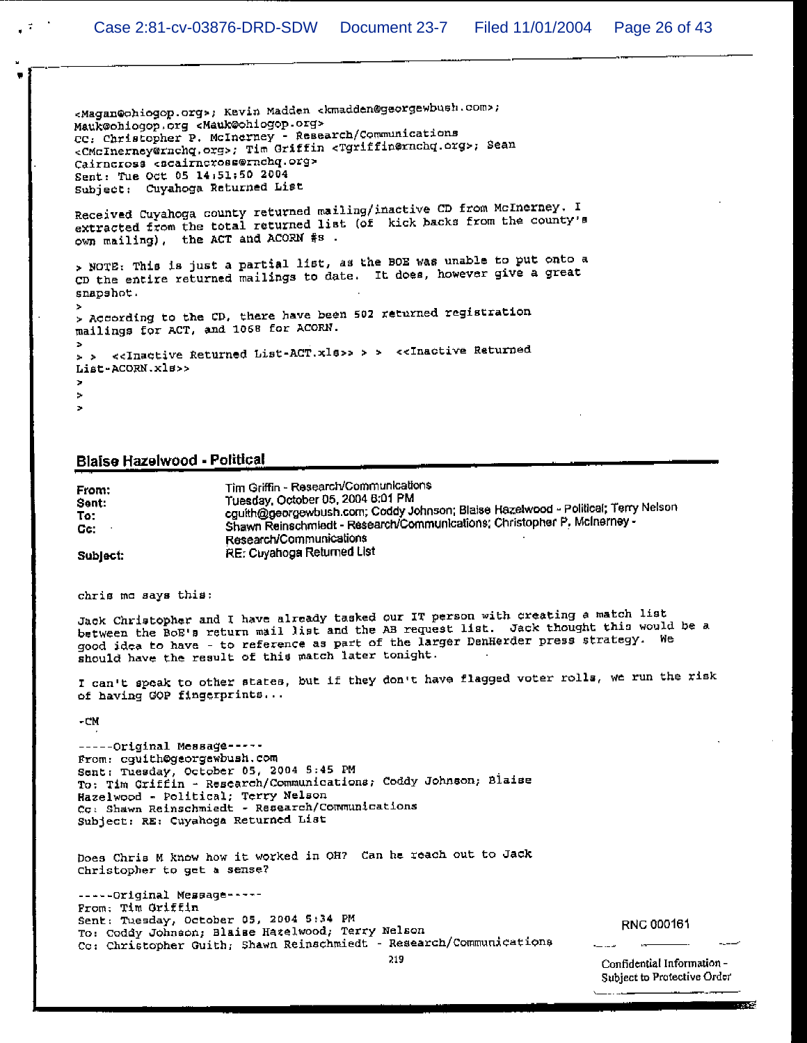<Magan@ohiogop.org>; Kevin Madden <kmadden@georgewbush.com>; Mauk@ohiogop.org <Mauk@ohiogop.org> CC: Christopher P. McInerney - Research/Communications <CMcInerney@rnchq.org>; Tim Griffin <Tgriffin@rnchq.org>; Sean Cairncross <scairncross@rnchq.org> Sent: Tue Oct 05 14:51:50 2004 Subject: Cuyahoga Returned List Received Cuyahoga county returned mailing/inactive CD from McInerney. I extracted from the total returned list (of kick backs from the county's own mailing), the ACT and ACORN #s. > NOTE: This is just a partial list, as the BOE was unable to put onto a CD the entire returned mailings to date. It does, however give a great snapshot. > According to the CD, there have been 502 returned registration mailings for ACT, and 1068 for ACORN. > > <<Inactive Returned List-ACT.xls>> > > <<Inactive Returned List-ACORN.xls>> ÷. ×

#### **Blaise Hazelwood - Political**

Tim Griffin - Research/Communications From: Tuesday, October 05, 2004 B:01 PM Sent: cguith@georgewbush.com; Coddy Johnson; Blaise Hazelwood - Political; Terry Nelson To: Shawn Reinschmiedt - Research/Communications: Christopher P. McInerney -Cc: Research/Communications RE: Cuyahoga Returned List Subject:

chris me says this:

Jack Christopher and I have already tasked our IT person with creating a match list between the BoE's return mail list and the AB request list. Jack thought this would be a good idea to have - to reference as part of the larger DenHerder press strategy. We should have the result of this match later tonight.

I can't speak to other states, but if they don't have flagged voter rolls, we run the risk of having GOP fingerprints...

 $-CM$ 

-----Original Message-----From: cguith@georgewbush.com Sent: Tuesday, October 05, 2004 S:45 PM To: Tim Griffin - Research/Communications; Coddy Johnson; Blaise Hazelwood - Political; Terry Nelson Cc: Shawn Reinschmiedt - Research/Communications Subject: RE: Cuyahoga Returned List

Does Chris M know how it worked in OH? Can he reach out to Jack Christopher to get a sense?

-----Original Message-----From: Tim Griffin Sent: Tuesday, October 05, 2004 5:34 PM To: Coddy Johnson; Blaise Hazelwood; Terry Nelson Co: Christopher Guith; Shawn Reinschmiedt - Research/Communications

```
RNC 000161
```
Confidential Information -Subject to Protective Order

**TAXABLE** 

219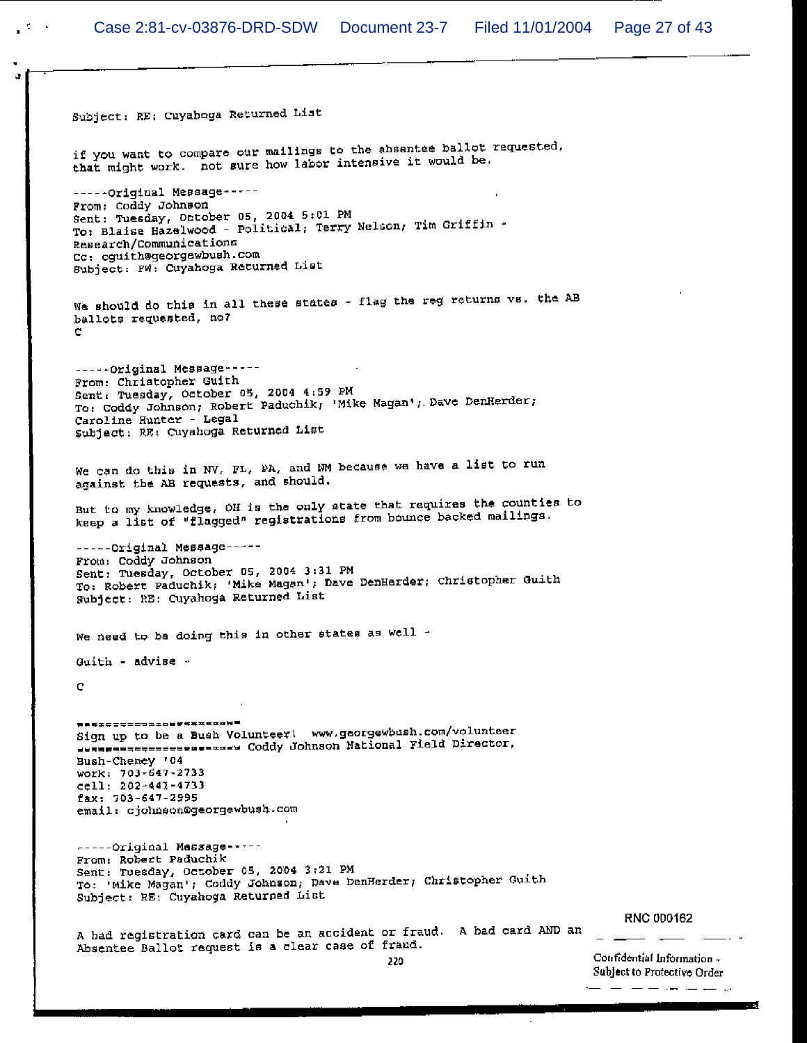$\mathcal{L} \subset \mathcal{L}$ 

Subject: RE: Cuyahoga Returned List if you want to compare our mailings to the absentee ballot requested. if you want to compare our mailings to the absencer start.<br>that might work. not sure how labor intensive it would be. -----Original Message-----From: Coddy Johnson Sent: Tuesday, October 05, 2004 5:01 PM Sent: Tuesday, October 05, 2004 5:01 Pm<br>To: Blaise Hazelwood - Political; Terry Nelson; Tim Griffin -Research/Communications Cc: cguith@georgewbush.com Subject. FW: Cuyahoga Returned List We should do this in all these states - flag the reg returns vs. the AB ballots requested, no? -----Original Message-----From: Christopher Guith Sent, Tuesday, October 05, 2004 4:59 PM Sent: Tuesday, October 05, 2004 4:59 PM<br>To: Coddy Johnson; Robert Paduchik; 'Mike Magan'; Dave DenHerder; Caroline Hunter - Legal Subject: RE: Cuyahoga Returned List We can do this in NV, FL, PA, and NM because we have a list to run against the AB requests, and should. But to my knowledge, OH is the only state that requires the counties to keep a list of "flagged" registrations from bounce backed mailings. -----Original Message-----From: Coddy Johnson Sent: Tuesday, October 05, 2004 3:31 PM Sent: Tuesday, October 05, 2004 3:31 PM<br>To: Robert Paduchik; 'Mike Magan'; Dave DenHerder; Christopher Guith Subject: RE: Cuyahoga Returned List We need to be doing this in other states as well -Guith - advise  $\mathbf C$ **ĦĔŖ\$\$\$\$==>**=±b#¥¥¥¤¤¤@W**=** sign up to be a Bush Volunteer! www.georgewbush.com/volunteer Sign up to be a Bush volunteer. Annual process all pirector, Bush-Cheney '04 work: 703-647-2733 cell: 202-441-4733 fax: 703-647-2995 email: cjohnson@georgewbush.com -----Original Message-----From: Robert Paduchik Sent: Tuesday, October 05, 2004 3:21 PM To: 'Mike Magan'; Coddy Johnson; Dave DenHerder; Christopher Guith Subject: RE: Cuyahoga Returned List **RNC 000162** A bad registration card can be an accident or fraud. A bad card AND an Absentee Ballot request is a clear case of fraud. Confidential Information -220 Subject to Protective Order

المراكبين للمراكب المسار المسار المساراة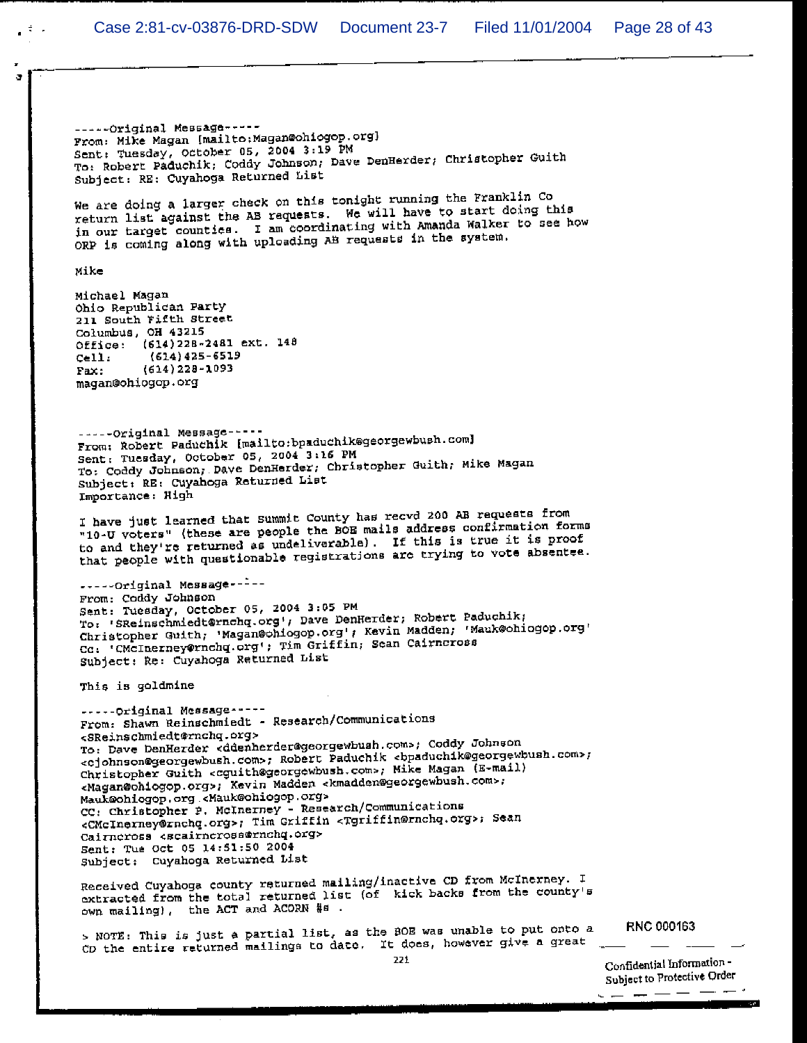$\frac{4}{7}$ 

-----Original Message-----From: Mike Magan [mailto: Magan@ohiogop.org] Sent: Tuesday, October 05, 2004 3:19 PM To: Robert Paduchik; Coddy Johnson; Dave DenHerder; Christopher Guith Subject: RE: Cuyahoga Returned List We are doing a larger check on this tonight running the Franklin Co return list against the AB requests. We will have to start doing this in our target counties. I am coordinating with Amanda Walker to see how ORP is coming along with uploading AB requests in the system. Mike Michael Magan Ohio Republican Party 211 South Fifth Street Columbus, OH 43215 Office: (614) 228-2481 ext. 148  $(614)425 - 6519$  $Cell:$  $(614)$  228-1093  $Fax:$ magan@ohiogop.org -----Original Message-----From: Robert Paduchik [mailto:bpaduchik@georgewbush.com] Sent: Tuesday, October 05, 2004 3:16 PM To: Coddy Johnson, Dave DenHerder, Christopher Guith, Mike Magan Subject: RE: Cuyahoga Returned List Importance: High I have just learned that Summit County has recvd 200 AB requests from "10-U voters" (these are people the BOB mails address confirmation forms to and they're returned as undeliverable). If this is true it is proof that people with questionable registrations are trying to vote absentee. -----Original Message-----From: Coddy Johnson Sent: Tuesday, October 05, 2004 3:05 PM To: 'SReinschmiedt@rnchq.org'; Dave DenHerder; Robert Paduchik; Christopher Guith, 'Magan@chiogop.org'; Kevin Madden; 'Mauk@chiogop.org' Co. CMcInerney@rnchq.org'; Tim Griffin; Sean Cairncross Subject: Re: Cuyahoga Returned List This is goldmine -----Original Message-----From: Shawn Reinschmiedt - Research/Communications <SReinschmiedt@rnchq.org> To: Dave DenHerder <ddenherder@georgewbush.com>; Coddy Johnson <cjohnson@georgewbush.com>; Robert Paduchik <bpaduchik@georgewbush.com>; Christopher Guith <cguith@georgewbush.com>; Mike Magan (E-mail) <Magan@ohiogop.org>; Kevin Madden <kmadden@georgewbush.com>; Mauk@ohiogop.org <Mauk@ohiogop.org> CC: Christopher P. McInerney - Research/Communications <CMcInerney@rnchq.org>; Tim Griffin <Tgriffin@rnchq.org>; Sean Cairneross escairneross@rnchq.org> Sent: Tue Oct 05 14:51:50 2004 Subject: Cuyahoga Returned List Received Cuyahoga county returned mailing/inactive CD from McInerney. I extracted from the total returned list (of kick backs from the county's own mailing), the ACT and ACORN #s. > NOTE: This is just a partial list, as the BOE was unable to put onto a CD the entire returned mailings to date. It does, however give a great

RNC 000163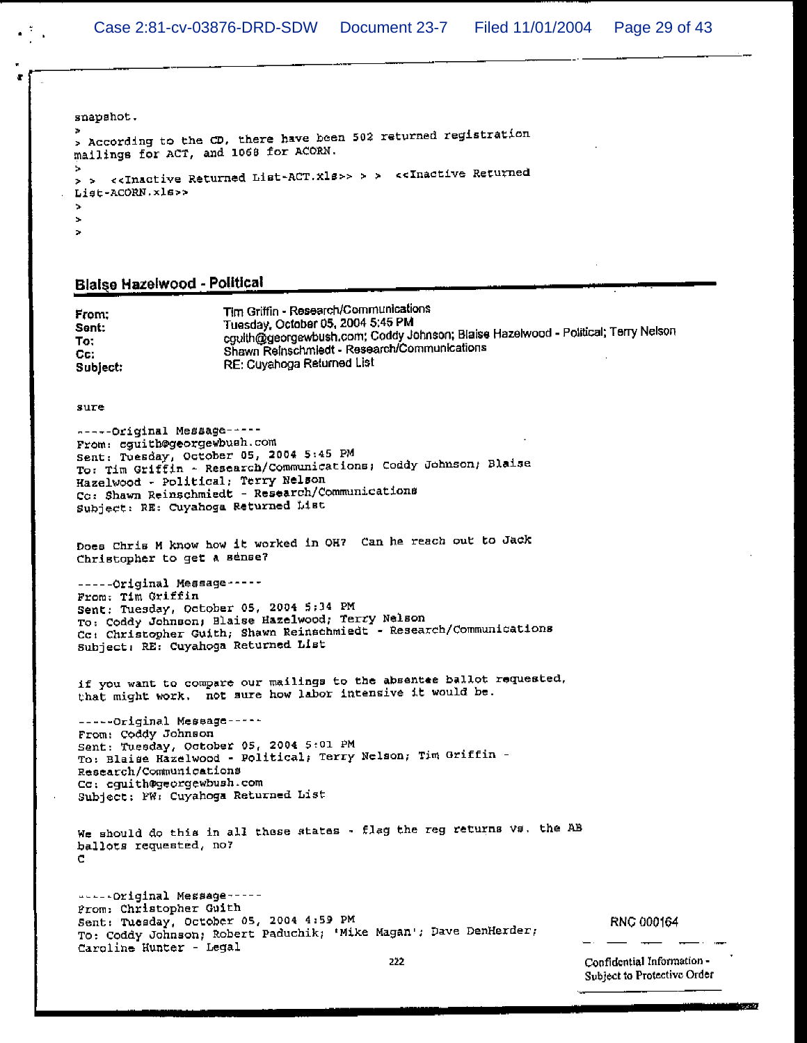snapshot.

```
> According to the CD, there have been 502 returned registration
mailings for ACT, and 1068 for ACORN.
> > <<Inactive Returned List-ACT.xls>> > > <<Inactive Returned
List-ACORN.xls>>
\simŚ.
\overline{a}
```
#### **Blaise Hazelwood - Political**

Tim Griffin - Research/Communications From: Tuesday, October 05, 2004 5:45 PM cguith@georgewbush.com; Coddy Johnson; Blaise Hazelwood - Political; Terry Nelson Sent: To: Shawn Reinschmiedt - Research/Communications Cc: RE: Cuyahoga Returned List Subject:

sure

```
-----Original Message-----
From: cguith@georgewbush.com
Sent: Tuesday, October 05, 2004 5:45 PM
To: Tim Griffin - Research/Communications; Coddy Johnson; Blaise
Hazelwood - Political; Terry Nelson
Co: Shawn Reinschmiedt - Research/Communications
Subject: RE: Cuyahoga Returned List
```
Does Chris M know how it worked in OH? Can he reach out to Jack Christopher to get a sense?

-----Original Message-----From: Tim Griffin Sent: Tuesday, October 05, 2004 5:34 PM To: Coddy Johnson; Blaise Hazelwood; Terry Nelson Cc: Christopher Guith; Shawn Reinschmiedt - Research/Communications Subject: RE: Cuyahoga Returned List

if you want to compare our mailings to the absentee ballot requested, that might work, not sure how labor intensive it would be.

-----Original Message-----From: Coddy Johnson Sent: Tuesday, October 05, 2004 5:01 PM To: Blaise Hazelwood - Political; Terry Nelson; Tim Griffin -Research/Communications Cc: cguith@georgewbush.com Subject: PW: Cuyahoga Returned List

```
We should do this in all these states - flag the reg returns vs. the AB
ballots requested, no?
C
```
-----Original Message-----Prom: Christopher Guith Sent: Tuesday, October 05, 2004 4:59 PM To: Coddy Johnson; Robert Paduchik; 'Mike Magan'; Dave DenHerder; Caroline Hunter - Legal

RNC 000164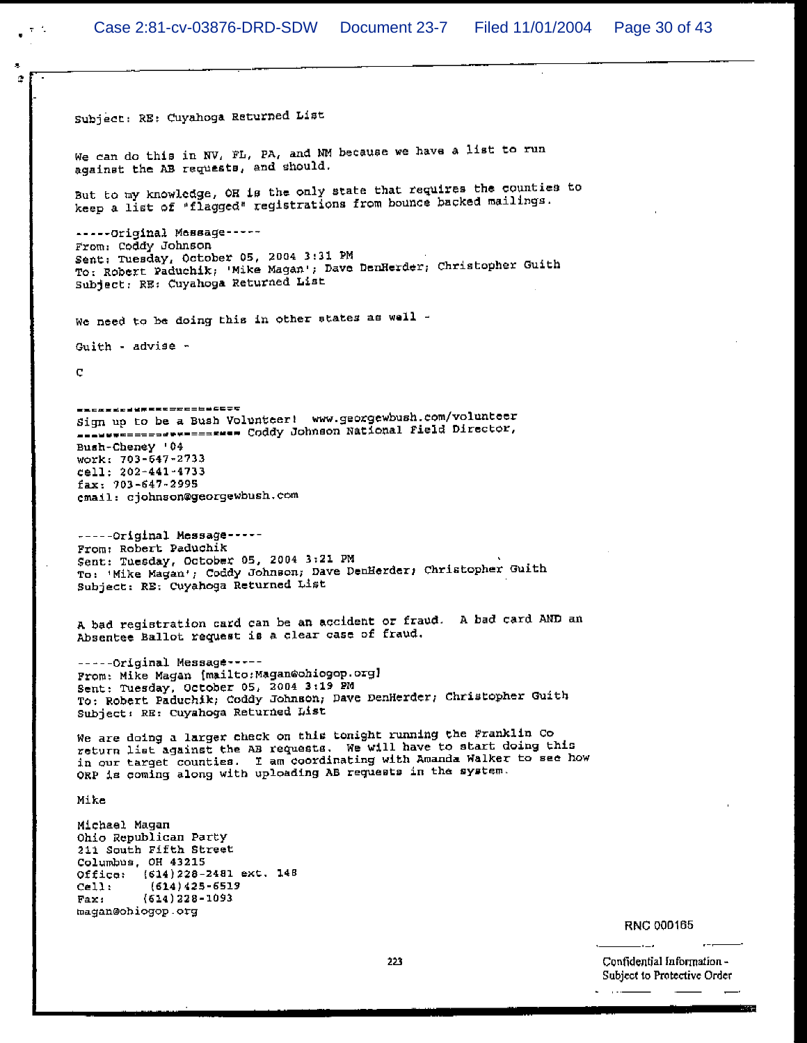÷.

Subject: RE: Cuyahoga Returned List We can do this in NV, FL, PA, and NM because we have a list to run against the AB requests, and should. But to my knowledge, OH is the only state that requires the counties to keep a list of "flagged" registrations from bounce backed mailings. -----Original Message-----From: Coddy Johnson Sent: Tuesday, October 05, 2004 3:31 PM To: Robert Paduchik; 'Mike Magan'; Dave DenHerder; Christopher Guith Subject: RE: Cuyahoga Returned List We need to be doing this in other states as well -Guith - advise -Ç -------------------------Sign up to be a Bush Volunteer! www.georgewbush.com/volunteer --------------------- Coddy Johnson National Field Director, Bush-Cheney '04 work: 703-647-2733 cell: 202-441-4733 fax: 703-647-2995 cmail: cjohnson@georgewbush.com -----Original Message-----From: Robert Paduchik Sent: Tuesday, October 05, 2004 3:21 PM To: 'Mike Magan'; Coddy Johnson; Dave DenHerder; Christopher Guith Subject: RE: Cuyahoga Returned List A bad registration card can be an accident or fraud. A bad card AND an Absentee Ballot request is a clear case of fraud. -----Original Message-----From: Mike Magan (mailto: Magan@ohiogop.org) Sent: Tuesday, October 05, 2004 3:19 PM To: Robert Paduchik; Coddy Johnson; Dave DenHerder; Christopher Guith Subject: RE: Cuyahoga Returned List We are doing a larger check on this tonight running the Franklin Co return list against the AB requests. We will have to start doing this in our target counties. I am coordinating with Amanda Walker to see how ORP is coming along with uploading AB requests in the system. Mike Michael Magan Ohio Republican Party 211 South Fifth Street Columbus, OH 43215 Office: (614) 228-2481 ext. 148  $cel:$  $(614)425 - 6519$ Fax:  $(614)$  228-1093 magan@ohiogop.org  $\sim$   $\sim$ 

**RNC 000165**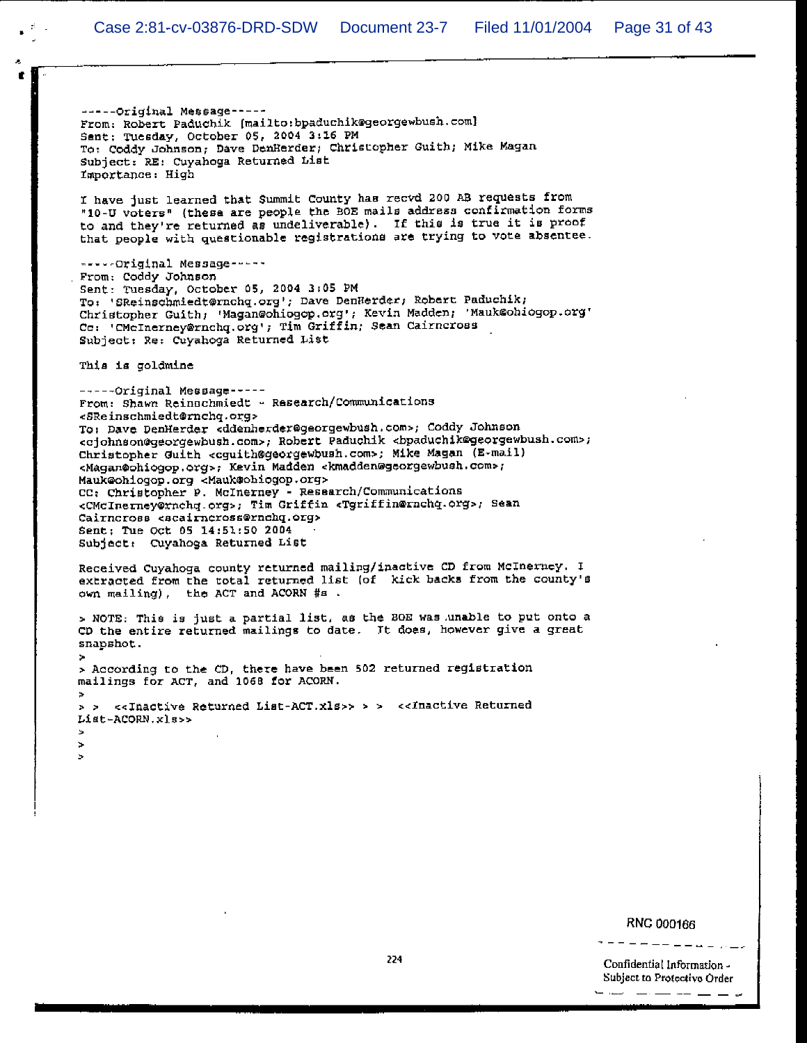-----Original Message-----From: Robert Paduchik (mailto:bpaduchik@georgewbush.com) Sent: Tuesday, October 05, 2004 3:16 PM To: Coddy Johnson; Dave DenHerder; Christopher Guith; Mike Magan Subject: RE: Cuyahoga Returned List Importance: High I have just learned that Summit County has recvd 200 AB requests from "10-U voters" (these are people the BOE mails address confirmation forms to and they're returned as undeliverable). If this is true it is proof that people with questionable registrations are trying to vote absentee. -----Original Message-----From: Coddy Johnson Sent: Tuesday, October 05, 2004 3:05 PM To: 'Skeinschmiedt@rnchq.org'; Dave DenHerder; Robert Paduchik; Christopher Guith; 'Magan@ohiogop.org'; Kevin Madden; 'Mauk@ohiogop.org' Co: 'CMcInerney@rnchq.org'; Tim Griffin; Sean Cairncross Subject: Re: Cuyahoga Returned List This is goldmine -----Original Message-----From: Shawn Reinschmiedt - Research/Communications <SReinschmiedt@rnchq.org> To: Dave DenHerder <ddenherder@georgewbush.com>; Coddy Johnson <cjohnson@georgewbush.com>; Robert Paduchik <bpaduchik@georgewbush.com>; Christopher Guith <cguith@georgewbush.com>; Mike Magan (E-mail) <Magan@ohiogop.org>; Kevin Madden <kmadden@georgewbush.com>; Mauk@ohiogop.org <Mauk@ohiogop.org>

CC: Christopher P. McInerney - Research/Communications <CMcInerney@rnchq.org>; Tim Griffin <Tgriffin@rnchq.org>; Sean Cairncross <scairncross@rnchq.org> Sent; Tue Oct 05 14:51:50 2004 Subject: Cuyahoga Returned List

Received Cuyahoga county returned mailing/inactive CD from McInerney. I extracted from the total returned list (of kick backs from the county's own mailing), the ACT and ACORN #s.

> NOTE: This is just a partial list, as the BOE was unable to put onto a CD the entire returned mailings to date. It does, however give a great snapshot.

> According to the CD, there have been 502 returned registration mailings for ACT, and 1068 for ACORN.

> > <<Inactive Returned List-ACT.xls>> > > <<Inactive Returned List-ACORN.xls>>

 $\mathbf{h}$ ÿ.  $\mathcal{D}_{\mathcal{A}}$ 

#### **RNC 000166**

Confidential Information -Subject to Protective Order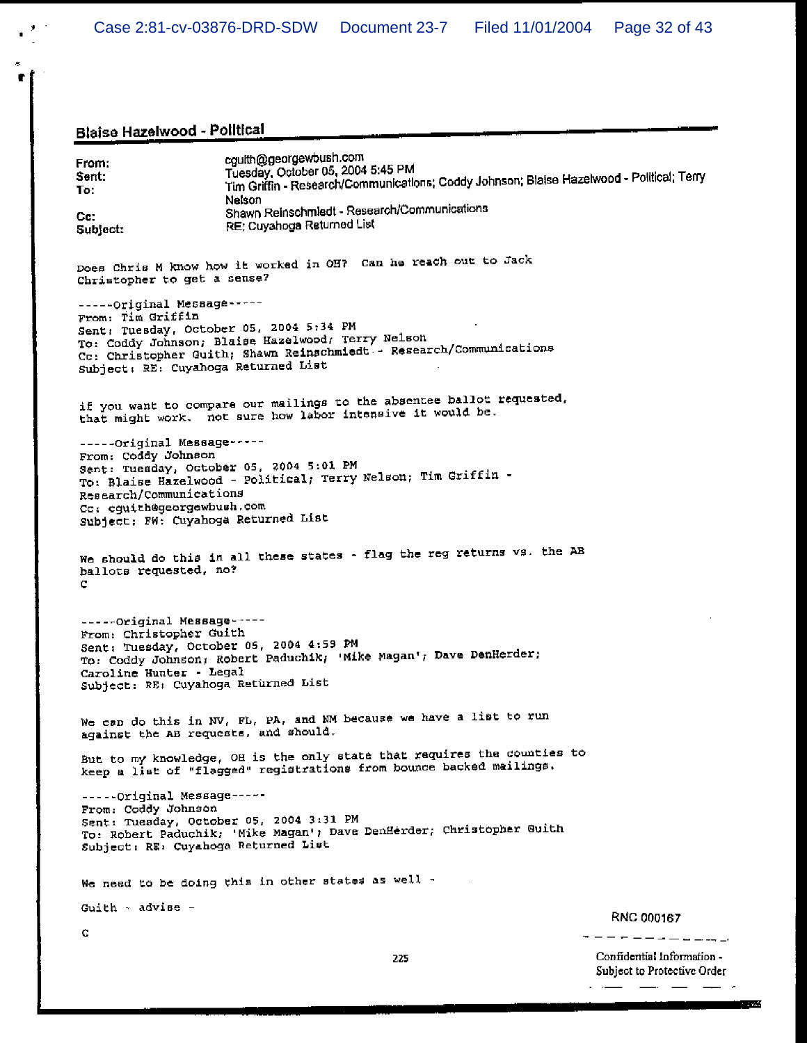## Blaise Hazelwood - Political **Communication of the Communication**

 $\mathbf{r}^{(k+1)}$ 

 $\sigma$  $\blacksquare$ 

| From:<br>Sent:<br>To l<br>Cc:<br>Subject:                                                                                                                                                    | cguith@georgewbush.com<br>Tuesday, October 05, 2004 5:45 PM<br>Tim Griffin - Research/Communications; Coddy Johnson; Blaise Hazelwood - Political; Terry<br>Nelson<br>Shawn Reinschmiedt - Research/Communications<br>RE: Cuyahoga Returned List |                                                           |
|----------------------------------------------------------------------------------------------------------------------------------------------------------------------------------------------|--------------------------------------------------------------------------------------------------------------------------------------------------------------------------------------------------------------------------------------------------|-----------------------------------------------------------|
| Christopher to get a sense?                                                                                                                                                                  | Does Chris M know how it worked in OH? Can he reach out to Jack                                                                                                                                                                                  |                                                           |
| -----Original Message-----<br>From: Tim Griffin<br>Sent: Tuesday, October 05, 2004 5:34 PM<br>Subject: RE: Cuyahoga Returned List                                                            | To: Coddy Johnson; Blaise Hazelwood; Terry Nelson<br>Cc: Christopher Guith; Shawn Reinschmiedt - Research/Communications                                                                                                                         |                                                           |
|                                                                                                                                                                                              | if you want to compare our mailings to the absentee ballot requested,<br>that might work. not sure how labor intensive it would be.                                                                                                              |                                                           |
| -----Original Message-----<br>From: Coddy Johnson<br>Sent: Tuesday, October 05, 2004 5:01 PM<br>Research/Communications<br>Cc: cguith@georgewbush.com<br>Subject; FW: Cuyahoga Returned List | To: Blaise Hazelwood - Political; Terry Nelson; Tim Griffin -                                                                                                                                                                                    |                                                           |
| ballots requested, no?<br>с                                                                                                                                                                  | We should do this in all these states - flag the reg returns vs. the AB                                                                                                                                                                          |                                                           |
| -----Original Message-----<br>From: Christopher Guith<br>Sent: Tuesday, October 05, 2004 4:59 PM<br>Caroline Hunter - Legal<br>Subject: RE: Cuyahoga Returned List                           | To: Coddy Johnson; Robert Paduchik; 'Mike Magan'; Dave DenHerder;                                                                                                                                                                                |                                                           |
| against the AB requests, and should.                                                                                                                                                         | We can do this in NV, FL, PA, and NM because we have a list to run                                                                                                                                                                               |                                                           |
|                                                                                                                                                                                              | But to my knowledge, OH is the only state that requires the counties to<br>keep a list of "flagged" registrations from bounce backed mailings.                                                                                                   |                                                           |
| -----Original Message-----<br>From: Coddy Johnson<br>Sent: Tuesday, October 05, 2004 3:31 PM<br>Subject: RE: Cuyahoga Returned List                                                          | To: Robert Paduchik; 'Mike Magan'; Dave DenHerder; Christopher Guith                                                                                                                                                                             |                                                           |
| We need to be doing this in other states as well -                                                                                                                                           |                                                                                                                                                                                                                                                  |                                                           |
| Guith - advise -                                                                                                                                                                             |                                                                                                                                                                                                                                                  | <b>RNC 000167</b>                                         |
| с                                                                                                                                                                                            |                                                                                                                                                                                                                                                  |                                                           |
|                                                                                                                                                                                              | 225                                                                                                                                                                                                                                              | Confidential Information -<br>Subject to Protective Order |

فالمستور المسترد المستدرية

**TANK**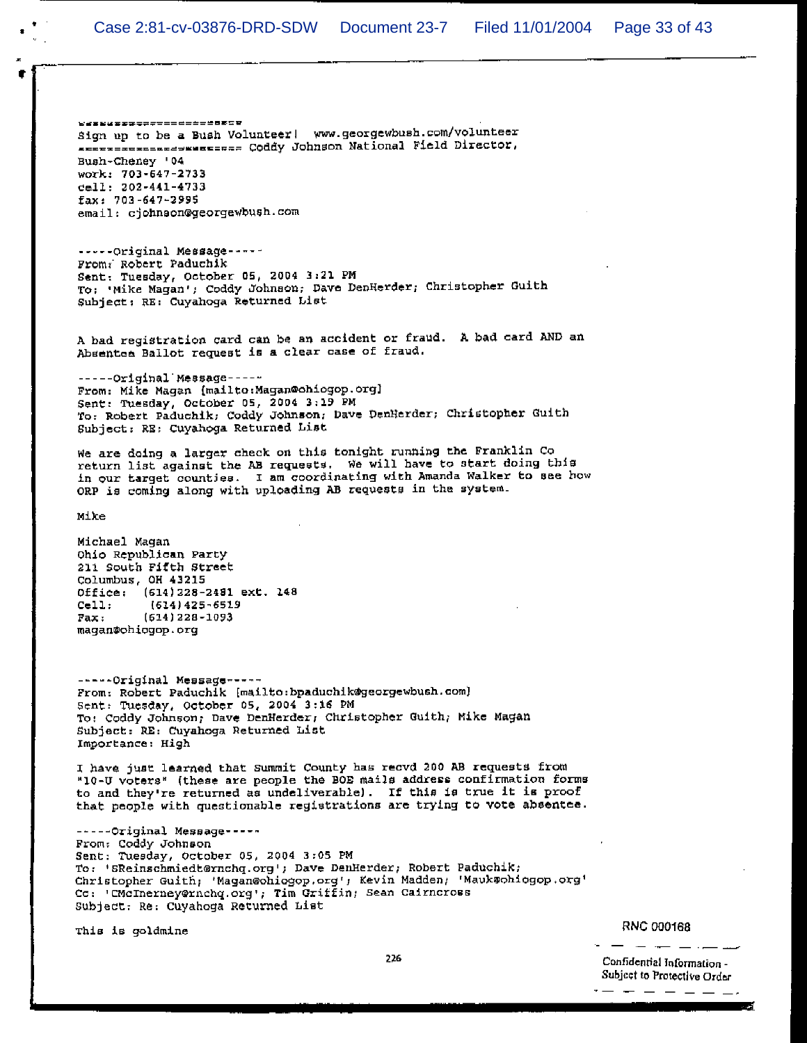₩₩¥₩₩₩₩₩₩₩₩₩₩₩₩₩₩₩₩₩₩₩₩ Sign up to be a Bush Volunteer! www.georgewbush.com/volunteer ARETTEERSEERSTERE Coddy Johnson National Field Director, Bush-Cheney '04 work: 703-647-2733 cell: 202-441-4733 fax: 703-647-2995 email: cjohnson@georgewbush.com

-----Original Message-----From: Robert Paduchik Sent: Tuesday, October 05, 2004 3:21 PM To: 'Mike Magan'; Coddy Johnson; Dave DenHerder; Christopher Guith Subject: RE: Cuyahoga Returned List

A bad registration card can be an accident or fraud. A bad card AND an Absentee Ballot request is a clear case of fraud.

-----Original Message-----From: Mike Magan (mailto: Magan@ohiogop.org) Sent: Tuesday, October 05, 2004 3:19 PM To: Robert Paduchik; Coddy Johnson; Dave DenHerder; Christopher Guith Subject: RE: Cuyahoga Returned List

We are doing a larger check on this tonight running the Franklin Co return list against the AB requests. We will have to start doing this in our target counties. I am coordinating with Amanda Walker to see how ORP is coming along with uploading AB requests in the system.

Mike

Michael Magan Ohio Republican Party 211 South Fifth Street Columbus, OH 43215 Office: (614) 228-2481 ext. 148  $Cell:$  $(614)425 - 6519$  $Fax:$  $(614)$  228-1093 magan@ohiogop.org

-----Original Message-----From: Robert Paduchik [mailto:bpaduchik@georgewbush.com] Sent: Tuesday, October 05, 2004 3:16 PM To: Coddy Johnson; Dave DenHerder, Christopher Guith; Mike Magan Subject: RE: Cuyahoga Returned List Importance: High

I have just learned that Summit County has recvd 200 AB requests from "10-U voters" (these are people the BOE mails address confirmation forms to and they're returned as undeliverable). If this is true it is proof that people with questionable registrations are trying to vote absentee.

-----Original Message-----From: Coddy Johnson Sent: Tuesday, October 05, 2004 3:05 PM To: 'SReinschmiedt@rnchq.org'; Dave DenHerder; Robert Paduchik; Christopher Guith; 'Magan@ohiogop.org'; Kevin Madden; 'Mauk@ohiogop.org' Co: 'CMcInerney@rnchq.org'; Tim Griffin; Sean Cairncross Subject: Re: Cuyahoga Returned List

This is goldmine

**RNC 000168** 

Confidential Information -Subject to Protective Order . . . . . . <u>.</u> .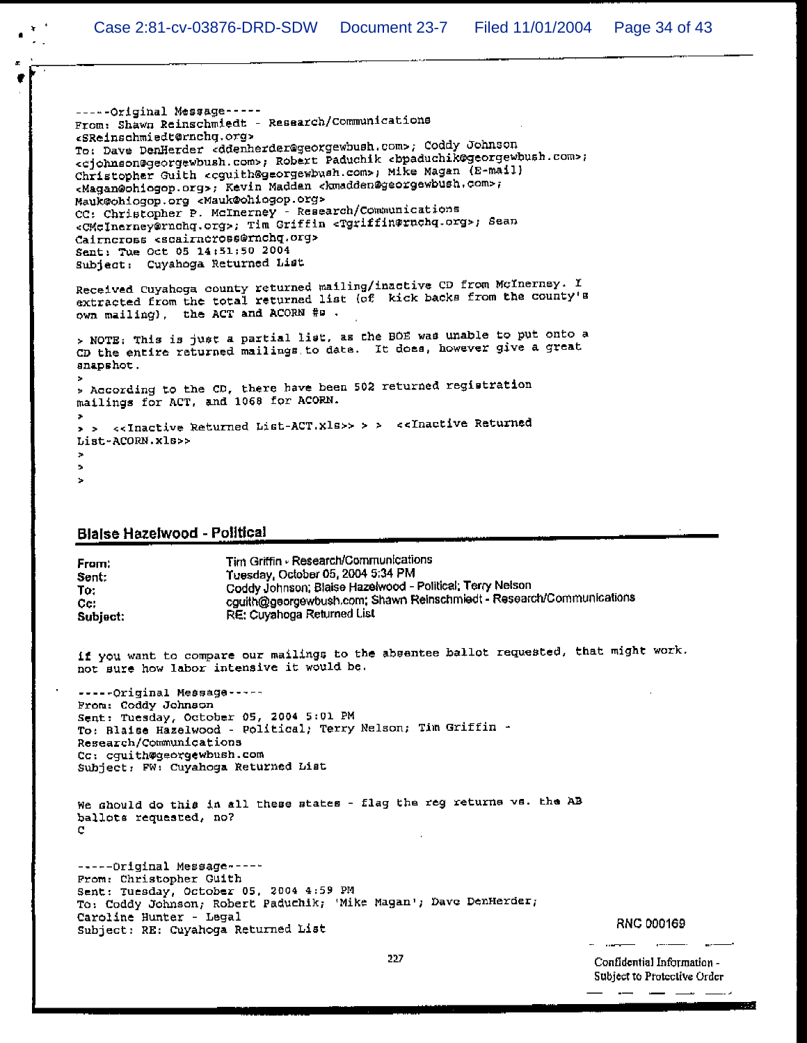```
-----Original Message-----
From: Shawn Reinschmiedt - Research/Communications
<SReinschmiedt@rnchq.org>
To: Dave DenHerder <ddenherder@georgewbush.com>; Coddy Johnson
<cjohnson@georgewbush.com>; Robert Paduchik cbpaduchik@georgewbush.com>;
Christopher Guith <cguith@georgewbush.com>, Mike Magan (E-mail)
<Magan@ohiogop.org>; Kevin Madden <kmadden@georgewbush.com>;
Mauk@ohiogop.org <Mauk@ohiogop.org>
CC: Christopher P. McInerney - Research/Communications
<CMcInerney@rnchq.org>; Tim Griffin <Tgriffin@rnchq.org>; Sean
Cairncross <scairncross@rnchq.org>
Sent: Tue Oct 05 14:51:50 2004
Subject: Cuyahoga Returned List
Received Cuyahoga county returned mailing/inactive CD from McInerney. I
extracted from the total returned list (of kick backs from the county's
own mailing), the ACT and ACORN #B.
> NOTE: This is just a partial list, as the BOE was unable to put onto a
CD the entire returned mailings to date. It does, however give a great
snapshot.
> According to the CD, there have been 502 returned registration
mailings for ACT, and 1068 for ACORN.
> > <<Inactive Returned List-ACT.xls>> > > <<Inactive Returned
List-ACORN.xls>>
\mathbf{r}\bullet\mathbf{r}
```
#### **Blaise Hazelwood - Political**

| From:    | Tim Griffin - Research/Communications                                |
|----------|----------------------------------------------------------------------|
| Sent:    | Tuesday, October 05, 2004 5:34 PM                                    |
| To:      | Coddy Johnson; Blaise Hazelwood - Political; Terry Nelson            |
| Cc:      | cguith@georgewbush.com; Shawn Reinschmiedt - Research/Communications |
| Subject: | RE: Cuyahoga Returned List                                           |
|          |                                                                      |

if you want to compare our mailings to the absentee ballot requested, that might work. not sure how labor intensive it would be.

-----Original Message-----From: Coddy Johnson Sent: Tuesday, October 05, 2004 5:01 PM To: Blaise Hazelwood - Political; Terry Nelson; Tim Griffin -Research/Communications Cc: cquith@georgewbush.com Subject: FW: Cuyahoga Returned List

We should do this in all these states - flag the reg returns vs. the AB ballots requested, no? е

-----Original Message ----From: Christopher Guith Sent: Tuesday, October 05, 2004 4:59 PM To: Coddy Johnson; Robert Paduchik; 'Mike Magan'; Dave DenHerder; Caroline Hunter - Legal Subject: RE: Cuyahoga Returned List

RNC 000169

Confidential Information -Subject to Protective Order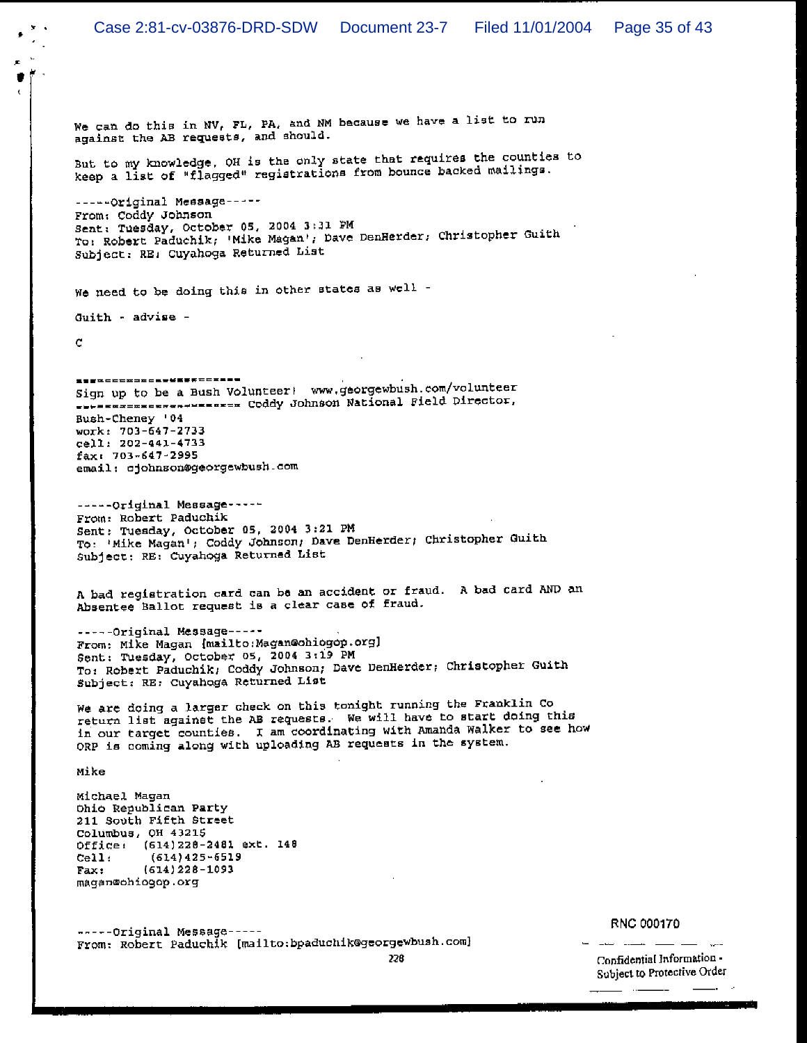We can do this in NV, FL, PA, and NM because we have a list to run against the AB requests, and should.

But to my knowledge, OH is the only state that requires the counties to keep a list of "flagged" registrations from bounce backed mailings.

----- Original Message-----From: Coddy Johnson Sent: Tuesday, October 05, 2004 3:31 PM To: Robert Paduchik, 'Mike Magan', Dave DenHerder, Christopher Guith Subject: RE: Cuyahoga Returned List

We need to be doing this in other states as well -

Guith - advise -

Ċ.

<u>\_\_\_</u>\_\_\_\_\_\_\_\_\_\_\_\_\_\_\_\_\_\_\_ Sign up to be a Bush Volunteer! www.georgewbush.com/volunteer ---------------------- Coddy Johnson National Field Director, Bush-Cheney '04 work: 703-647-2733 cell: 202-441-4733 fax: 703-647-2995 email: cjohnson@georgewbush.com

-----Original Message-----From: Robert Paduchik Sent: Tuesday, October 05, 2004 3:21 PM To: 'Mike Magan'; Coddy Johnson; Dave DenHerder; Christopher Guith Subject: RE: Cuyahoga Returned List

A bad registration card can be an accident or fraud. A bad card AND an Absentee Ballot request is a clear case of fraud.

-----Original Message-----From: Mike Magan (mailto: Magan@ohiogop.org) Sent: Tuesday, October 05, 2004 3:19 PM To: Robert Paduchik; Coddy Johnson; Dave DenHerder; Christopher Guith Subject: RE: Cuyahoga Returned List

We are doing a larger check on this tonight running the Franklin Co return list against the AB requests. We will have to start doing this in our target counties. I am coordinating with Amanda Walker to see how ORP is coming along with uploading AB requests in the system.

Mike

Michael Magan Ohio Republican Party 211 South Fifth Street Columbus, OH 43215 Office: (614)228-2481 ext. 148  $(614)425 - 6519$  $ceil:$  $(614)$  228-1093 Fax: magan@ohiogop.org

-----Original Message-----From: Robert Paduchik [mailto:bpaduchik@georgewbush.com]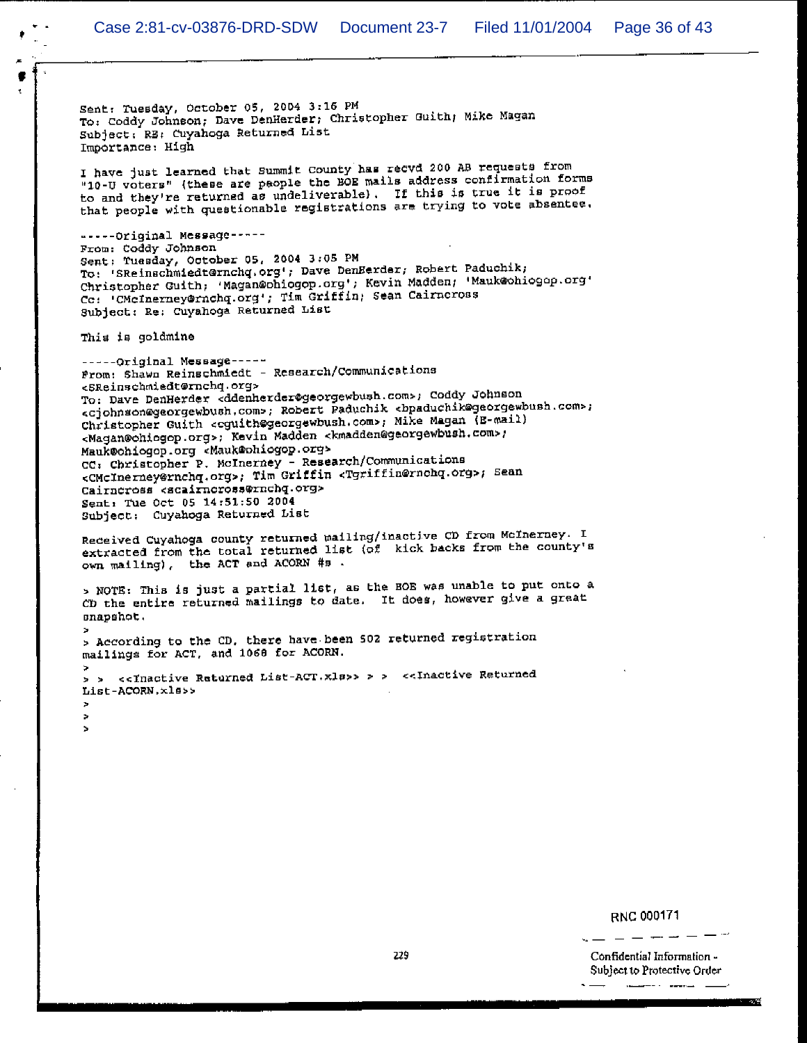Sent: Tuesday, October 05, 2004 3:16 PM To: Coddy Johnson; Dave DenHerder; Christopher Guith; Mike Magan Subject: RE: Cuyahoga Returned List Importance: High

I have just learned that Summit County has recvd 200 AB requests from "10-U voters" (these are people the BOE mails address confirmation forms to and they're returned as undeliverable). If this is true it is proof that people with questionable registrations are trying to vote absentee.

-----Original Message-----From: Coddy Johnson Sent: Tuesday, October 05, 2004 3:05 PM To: 'SReinschmiedt@rnchq.org'; Dave DenHerder; Robert Paduchik; Christopher Guith; 'Magan@ohiogop.org'; Kevin Madden; 'Mauk@ohiogop.org' Co: 'CMcInerney@rnchq.org'; Tim Griffin; Sean Cairneross Subject: Re: Cuyahoga Returned List

This is goldmine

× ż, ×

-----Original Message-----From: Shawn Reinschmiedt - Research/Communications <SReinschmiedt@rnchq.org> To: Dave DenHerder <ddenherder@georgewbush.com>; Coddy Johnson <cjohnson@georgewbush.com>; Robert Paduchik <br/> <br/>paduchik@georgewbush.com>; Christopher Guith <cguith@georgewbush.com>; Mike Magan (E-mail) <Magan@chiogop.org>; Kevin Madden <kmadden@georgewbush.com>; Mauk@ohiogop.org <Mauk@ohiogop.org> CC: Christopher P. McInerney - Research/Communications <CMcInerney@rnchq.org>; Tim Griffin <Tgriffin@rnchq.org>; Sean Cairneross <scairneross@rnchq.org> Sent: Tue Oct 05 14:51:50 2004 Subject: Cuyahoga Returned List

Received Cuyahoga county returned mailing/inactive CD from McInerney. I extracted from the total returned list (of kick backs from the county's own mailing), the ACT and ACORN #s.

> NOTE: This is just a partial list, as the BOE was unable to put onto a CD the entire returned mailings to date. It does, however give a great snapshot.

> According to the CD, there have been 502 returned registration mailings for ACT, and 1068 for ACORN.

<<Inactive Returned List-ACT.xls>> > > <<Inactive Returned  $5 - 5$ List-ACORN.xls>>

#### RNC 000171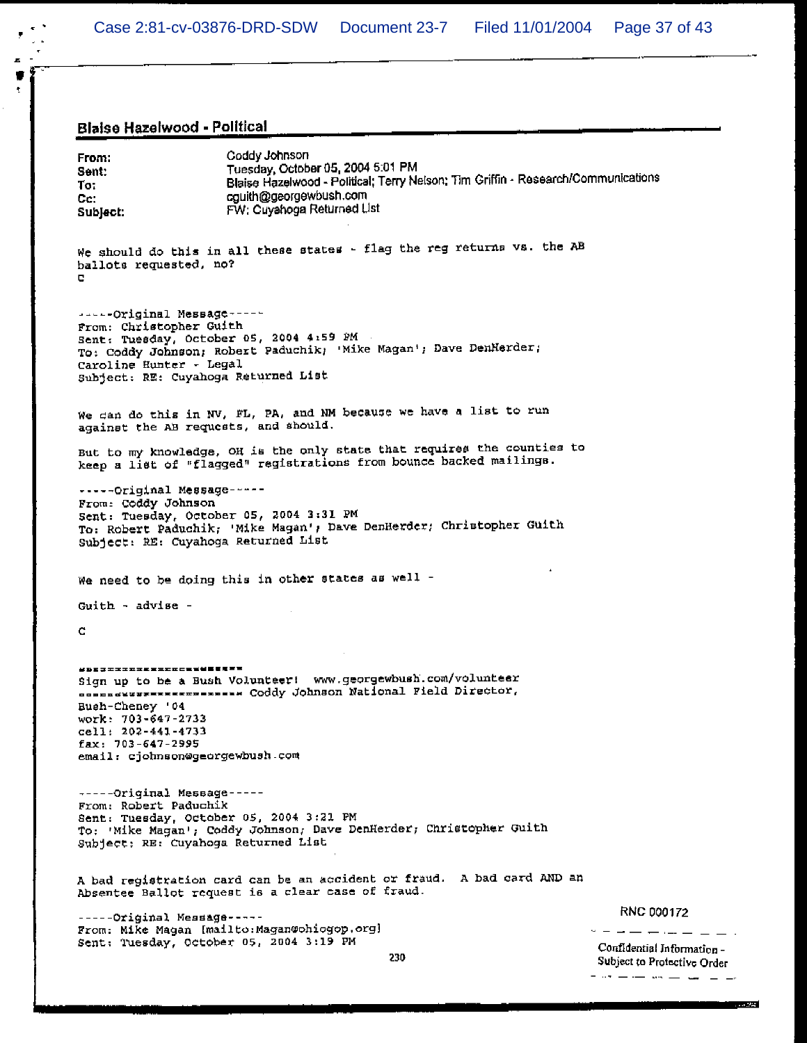## Blaise Hazelwood - Political

 $\blacksquare$ ۷ ł

| From:<br>Sent:<br>To:<br>Cc.<br>Subject:                                                                                                                                                                    | Coddy Johnson<br>Tuesday, October 05, 2004 5:01 PM<br>Blaise Hazelwood - Political; Terry Nelson; Tim Griffin - Research/Communications<br>cguith@georgewbush.com<br>FW: Cuyahoga Returned List |                                                           |
|-------------------------------------------------------------------------------------------------------------------------------------------------------------------------------------------------------------|-------------------------------------------------------------------------------------------------------------------------------------------------------------------------------------------------|-----------------------------------------------------------|
| ballots requested, no?<br>е                                                                                                                                                                                 | We should do this in all these states - flag the reg returns vs. the AB                                                                                                                         |                                                           |
| -----Original Message-----<br>From: Christopher Guith<br>Caroline Hunter - Legal<br>Subject: RE: Cuyahoga Returned List                                                                                     | Sent: Tuesday, October 05, 2004 4:59 PM<br>To: Coddy Johnson; Robert Paduchik; 'Mike Magan'; Dave DenHerder;                                                                                    |                                                           |
| against the AB requests, and should.                                                                                                                                                                        | We can do this in NV, FL, PA, and NM because we have a list to run                                                                                                                              |                                                           |
|                                                                                                                                                                                                             | But to my knowledge, OH is the only state that requires the counties to<br>keep a list of "flagged" registrations from bounce backed mailings.                                                  |                                                           |
| -----Original Message-----<br>From: Coddy Johnson<br>Sent: Tuesday, October 05, 2004 3:31 PM<br>To: Robert Paduchik; 'Mike Magan'; Dave DenHerder; Christopher Guith<br>Subject: RE: Cuyahoga Returned List |                                                                                                                                                                                                 |                                                           |
|                                                                                                                                                                                                             | We need to be doing this in other states as well -                                                                                                                                              |                                                           |
| Guith - advise -                                                                                                                                                                                            |                                                                                                                                                                                                 |                                                           |
| c                                                                                                                                                                                                           |                                                                                                                                                                                                 |                                                           |
| #DE#===================<br>Bush-Cheney '04<br>work: 703-647-2733<br>cell: 202-441-4733<br>$fax: 703-647-2995$<br>email: cjohnson@georgewbush.com                                                            | Sign up to be a Bush Volunteer! www.georgewbush.com/volunteer<br>nonnowswerereremenses Coddy Johnson National Field Director,                                                                   |                                                           |
| -----Original Message-----<br>From. Robert Paduchik<br>Sent: Tuesday, October 05, 2004 3:21 PM<br>Subject: RE: Cuyahoga Returned List                                                                       | To: 'Mike Magan'; Coddy Johnson; Dave DenHerder; Christopher Guith                                                                                                                              |                                                           |
|                                                                                                                                                                                                             | A bad registration card can be an accident or fraud. A bad card AND an<br>Absentee Ballot request is a clear case of fraud.                                                                     |                                                           |
| -----Original Message-----                                                                                                                                                                                  |                                                                                                                                                                                                 | RNC 000172                                                |
| Sent: Tuesday, October 05, 2004 3:19 PM                                                                                                                                                                     | From: Mike Magan [mailto: Magan@ohiogop.org]<br>230                                                                                                                                             | Confidential Information -<br>Subject to Protective Order |
|                                                                                                                                                                                                             |                                                                                                                                                                                                 | المسار المساريحين المستراسين الحرور الم                   |

 $\overline{\phantom{0}}$ 

an seri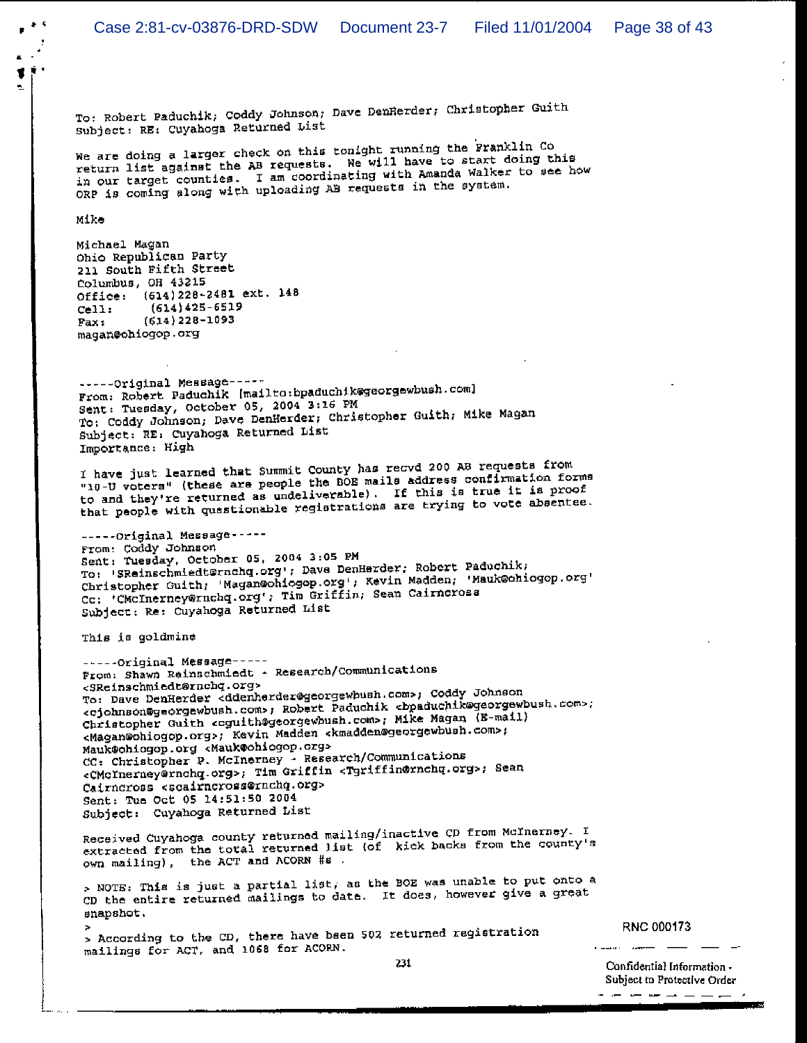To: Robert Paduchik; Coddy Johnson; Dave DenHerder; Christopher Guith Subject: RE: Cuyahoga Returned List

We are doing a larger check on this tonight running the Franklin Co return list against the AB requests. We will have to start doing this in our target counties. I am coordinating with Amanda Walker to see how ORP is coming along with uploading AB requests in the system.

Mike

 $\mu$  .  $0$ 

Michael Magan Ohio Republican Party 211 South Fifth Street Columbus, OH 43215 Office: (614) 228-2481 ext. 148  $(614)425 - 6519$  $Cell:$  $(614)$  228-1093 Fax: magan@ohiogop.org

-----Original Message-----From: Robert Paduchik [mailto:bpaduchik@georgewbush.com] Sent: Tuesday, October 05, 2004 3:16 PM To: Coddy Johnson, Dave DenHerder, Christopher Guith, Mike Magan Subject: RE: Cuyahoga Returned List Importance: High

I have just learned that Summit County has recvd 200 AB requests from "10-U voters" (these are people the BOE mails address confirmation forms to and they're returned as undeliverable). If this is true it is proof that people with questionable registrations are trying to vote absentee.

-----Original Message-----From: Coddy Johnson Sent: Tuesday, October 05, 2004 3:05 PM To: 'SReinschmiedternahg.org'; Dave DenHerder; Robert Paduchik; Christopher Guith, Magan@ohiogop.org', Kevin Madden, Mauk@ohiogop.org' Cc: 'CMCInerney@rnchq.org'; Tim Griffin; Sean Cairncross Subject: Re: Cuyahoga Returned List

This is goldmine

-----Original Message-----From: Shawn Reinschmiedt - Research/Communications <SReinschmiedt@rnchq.org> To: Dave DenHerder <ddenherder@georgewbush.com>; Coddy Johnson <cjohnson@georgewbush.com>; Robert Paduchik <bpaduchik@georgewbush.com>; Christopher Guith coguith@georgewbush.com>; Mike Magan (E-mail) <Magan@ohiogop.org>; Kevin Madden <kmadden@georgewbush.com>; Mauk@ohiogop.org <Mauk@ohiogop.org> CC: Christopher P. McInerney - Research/Communications <CMcInerney@rnchq.org>; Tim Griffin <Tgriffin@rnchq.org>; Sean Cairncross <scairncross@rnchq.org> Sent: Tue Oct 05 14:51:50 2004 Subject: Cuyahoga Returned List

Received Cuyahoga county returned mailing/inactive CD from McInerney. I extracted from the total returned list (of kick backs from the county's own mailing), the ACT and ACORN #s.

> NOTE: This is just a partial list, as the BOE was unable to put onto a CD the entire returned mailings to date. It does, however give a great snapshot.

> According to the CD, there have bsen 502 returned registration mailings for ACT, and 1068 for ACORN.

RNC 000173

Confidential Information -Subject to Protective Order المسامل مناصب مناصب المراك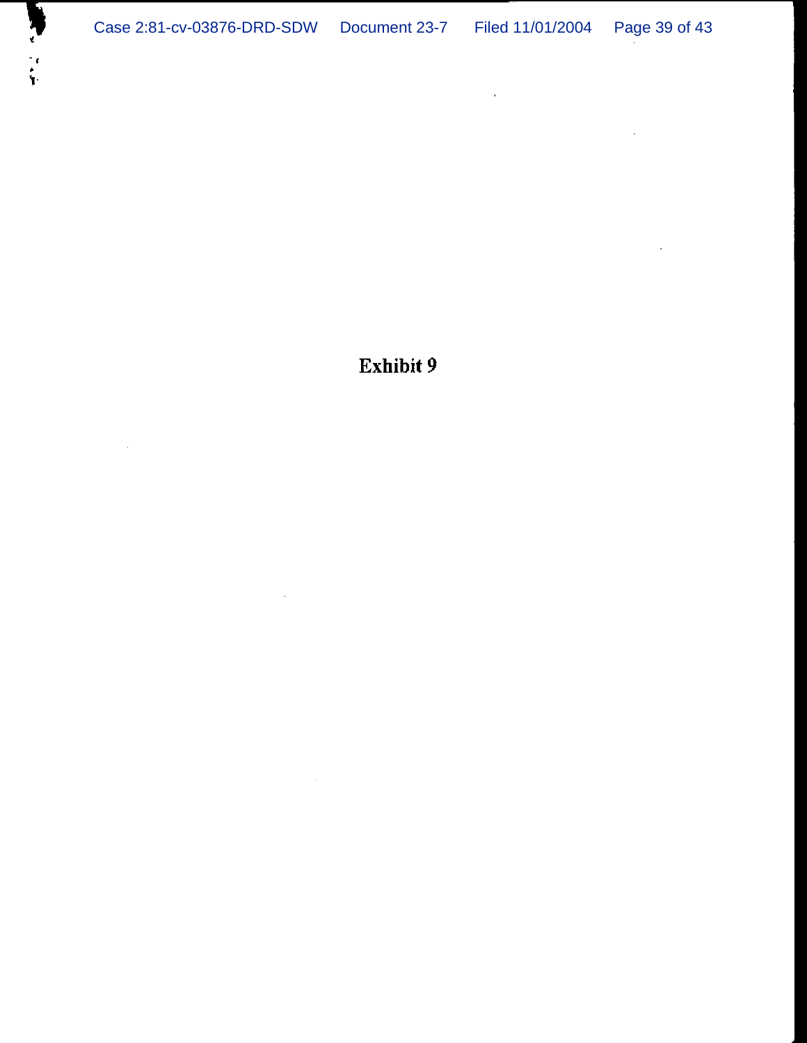$\mathcal{A}^{\mathcal{A}}$ 

 $\bar{\mathcal{L}}$ 

 $\sim 100$ 

Exhibit 9

 $\sim 10^7$ 

 $\sim$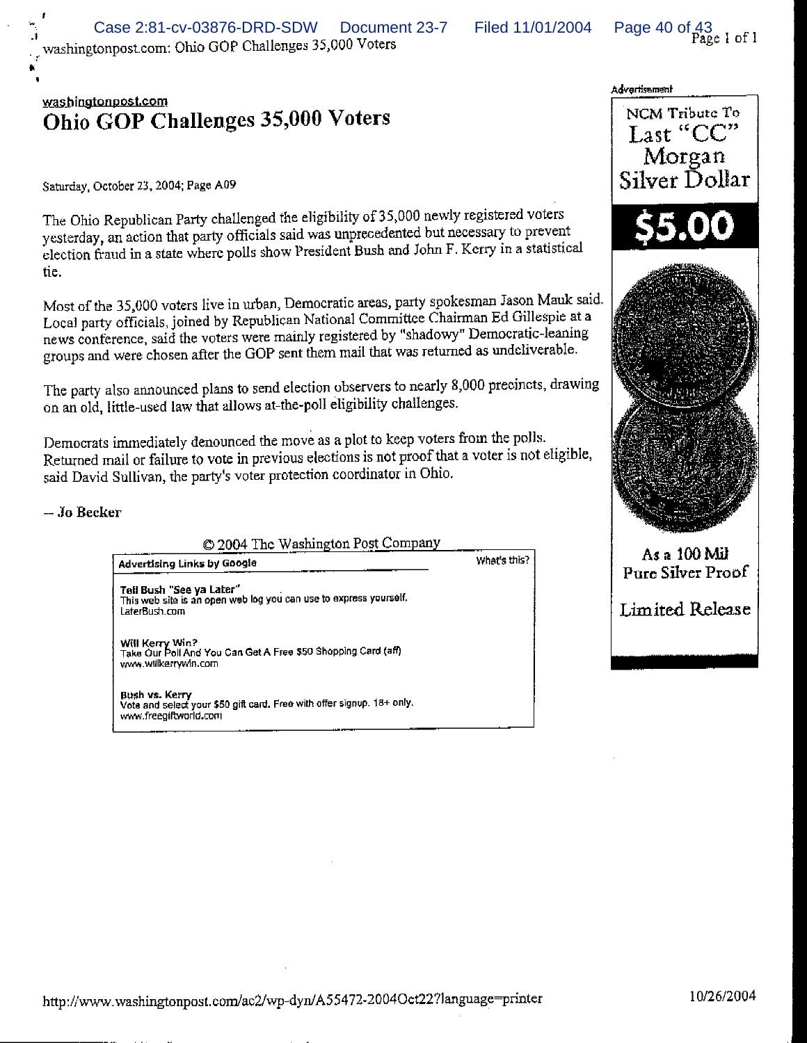What's this?

Page 40 of 43<br>Page 1 of 1

## washingtonpost.com Ohio GOP Challenges 35,000 Voters

Saturday, October 23, 2004; Page A09

The Ohio Republican Party challenged the eligibility of 35,000 newly registered voters yesterday, an action that party officials said was unprecedented but necessary to prevent election fraud in a state where polls show President Bush and John F. Kerry in a statistical tie.

Most of the 35,000 voters live in urban, Democratic areas, party spokesman Jason Mauk said. Local party officials, joined by Republican National Committee Chairman Ed Gillespie at a news conference, said the voters were mainly registered by "shadowy" Democratic-leaning groups and were chosen after the GOP sent them mail that was returned as undeliverable.

The party also announced plans to send election observers to nearly 8,000 precincts, drawing on an old, little-used law that allows at-the-poll eligibility challenges.

Democrats immediately denounced the move as a plot to keep voters from the polls. Returned mail or failure to vote in previous elections is not proof that a voter is not eligible, said David Sullivan, the party's voter protection coordinator in Ohio.

 $-$  Jo Recker

© 2004 The Washington Post Company

Advertising Links by Google

Tell Bush "See ya Later" This web site is an open web log you can use to express yourself. LaterBush.com

Will Kerry Win?<br>Take Our Poll And You Can Get A Free \$50 Shopping Card (aff) www.wilkerrywin.com

Bush vs. Kerry Vote and select your \$50 gift card. Free with offer signup, 18+ only. www.freegiftworld.com

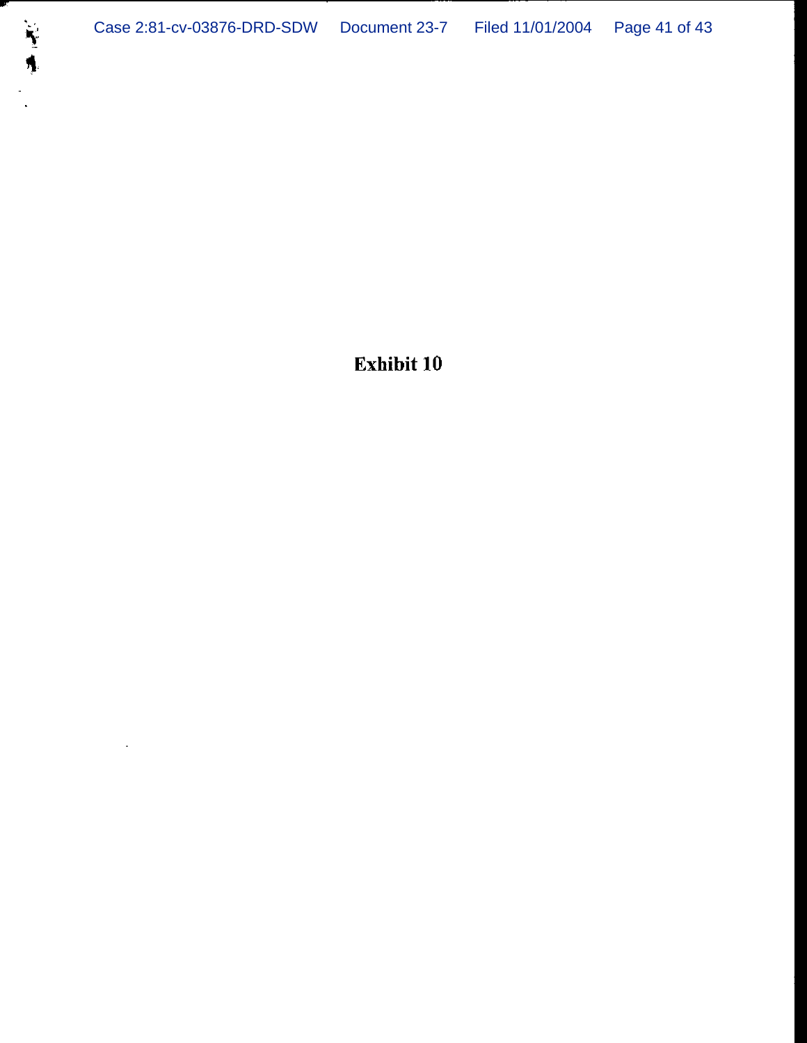$\mathbf{r}$ 

---

**Exhibit 10**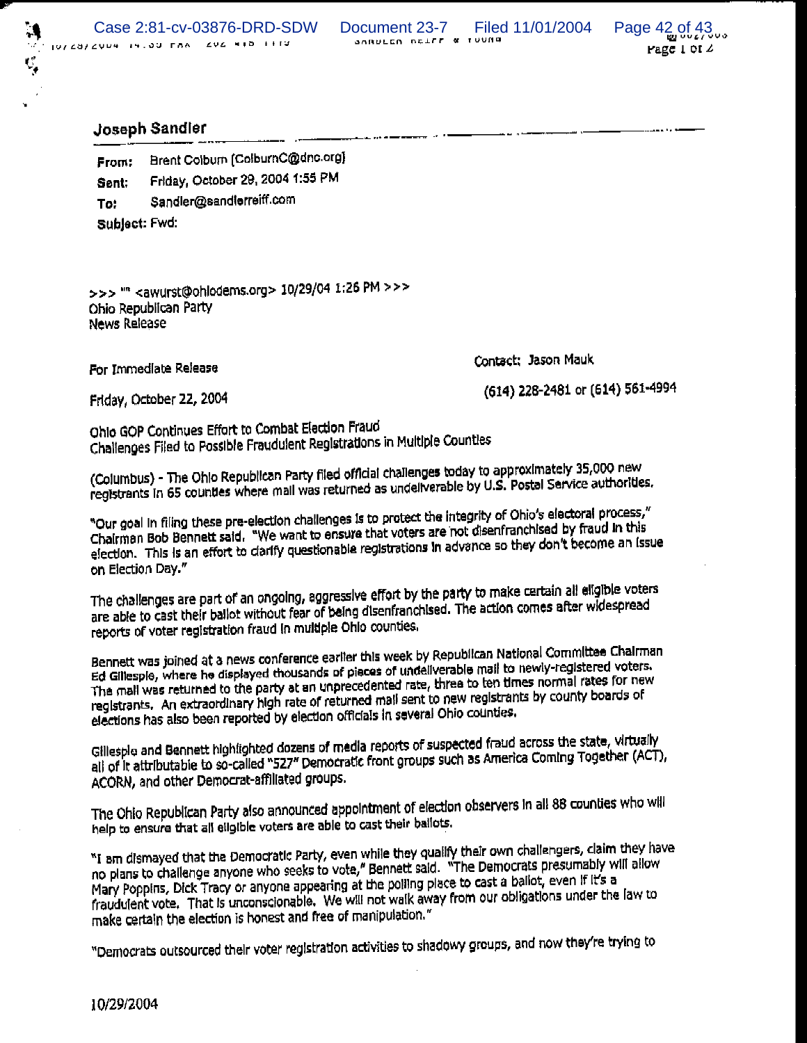SARULED DELEE & TUUNG



## Joseph Sandler

 $\ddot{\bullet}$ 

Brent Colbum (ColbumC@dnc.org) From: Friday, October 29, 2004 1:55 PM Sent: Sandler@sandlerreiff.com To: Sublect: Fwd:

>>> "" <awurst@ohlodems.org> 10/29/04 1:26 PM >>> Ohio Republican Party **News Release** 

For Immediate Release

Contact: Jason Mauk

Friday, October 22, 2004

(614) 228-2481 or (614) 561-4994

Ohio GOP Continues Effort to Combat Election Fraud Challenges Filed to Possible Fraudulent Registrations in Multiple Counties

(Columbus) - The Ohio Republican Party filed official challenges today to approximately 35,000 new registrants in 65 counties where mail was returned as undeliverable by U.S. Postal Service authorities.

"Our goal in filing these pre-election challenges is to protect the integrity of Ohio's electoral process," Chairman Bob Bennett said. "We want to ensure that voters are not disenfranchised by fraud in this election. This is an effort to ciarify questionable registrations in advance so they don't become an issue on Election Day."

The challenges are part of an ongoing, aggressive effort by the party to make certain all eligible voters are able to cast their ballot without fear of being disenfranchised. The action comes after widespread reports of voter registration fraud in multiple Ohio counties.

Bennett was joined at a news conference earlier this week by Republican National Committee Chairman Ed Gillespie, where he displayed thousands of pieces of undeliverable mail to newly-registered voters. The mall was returned to the party at an unprecedented rate, three to ten times normal rates for new registrants. An extraordinary high rate of returned mail sent to new registrants by county boards of elections has also been reported by election officials in several Ohio counties.

Gillesple and Bennett highlighted dozens of media reports of suspected fraud across the state, virtually all of it attributable to so-called "527" Democratic front groups such as America Coming Together (ACT), ACORN, and other Democrat-affiliated groups.

The Ohio Republican Party also announced appointment of election observers in all 88 counties who will help to ensure that all eligible voters are able to cast their ballots.

"I am dismayed that the Democratic Party, even while they qualify their own challengers, claim they have no plans to challenge anyone who seeks to vote," Bennett said. "The Democrats presumably will allow Mary Poppins, Dick Tracy or anyone appearing at the polling place to cast a ballot, even if it's a fraudulent vote. That is unconscionable. We will not walk away from our obligations under the law to make certain the election is honest and free of manipulation."

"Democrats outsourced their voter registration activities to shadowy groups, and now they're trying to